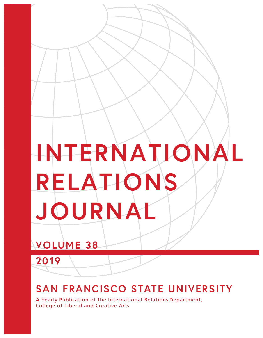# **INTERNATIONAL RELATIONS JOURNAL**

## **VOLUME 38**

**2019**

## **SAN FRANCISCO STATE UNIVERSITY**

A Yearly Publication of the International Relations Department, College of Liberal and Creative Arts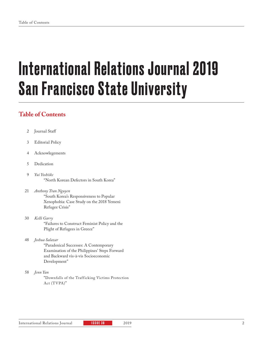# International Relations Journal 2019 San Francisco State University

### **Table of Contents**

- Journal Staff 2
- Editorial Policy 3
- Acknowlegements 4
- Dedication 5
- *Yui Yoshiike* "North Korean Defectors in South Korea" 9
- *Anthony Tran Nguyen*  "South Korea's Responsiveness to Popular Xenophobia: Case Study on the 2018 Yemeni Refugee Crisis" 21
- *Kelli Garry* "Failures to Construct Feminist Policy and the Plight of Refugees in Greece" 30

#### *Joshua Salazar* 48

"Paradoxical Successes: A Contemporary Examination of the Philippines' Steps Forward and Backward vis-à-vis Socioeconomic Development"

*Jenn Yan* 58

> "Downfalls of the Trafficking Victims Protection Act (TVPA)"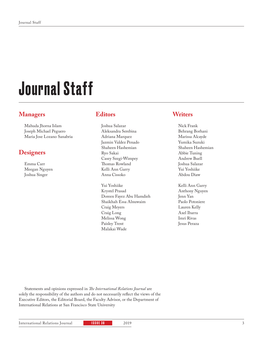# Journal Staff

### **Managers**

Mahuda Jhorna Islam Joseph Michael Peguero Maria Jose Lozano Sanabria

### **Designers**

Emma Carr Meegan Nguyen Joshua Singer

### **Editors**

Joshua Salazar Aleksandra Serebina Adriana Marquez Jazmin Valdez Penado Shaheen Hashemian Ryo Sakai Casey Szegi-Wimpey Thomas Rowland Kelli Ann Garry Anna Cissoko

Yui Yoshiike Krystel Prasad Doreen Fayez Abu Hamdieh Shaikhah Essa Alnuwaim Craig Meyers Craig Long Melissa Wong Paisley Trent Malakai Wade

### **Writers**

- Nick Frank Behrang Borhani Marissa Alcayde Yumika Suzuki Shaheen Hashemian Abbie Tuning Andrew Buell Joshua Salazar Yui Yoshiike Abdou Diaw
- Kelli Ann Garry Anthony Nguyen Jenn Yan Paolo Potoniere Lauren Kelly Axel Ibarra Imri Rivas Jesus Peraza

Statements and opinions expressed in *The International Relations Journal* are solely the responsibility of the authors and do not necessarily reflect the views of the Executive Editors, the Editorial Board, the Faculty Advisor, or the Department of International Relations at San Francisco State University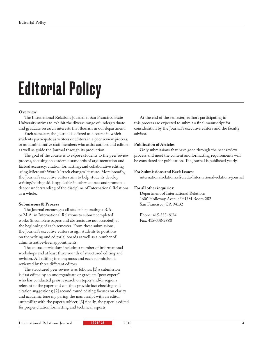# Editorial Policy

#### **Overview**

The International Relations Journal at San Francisco State University strives to exhibit the diverse range of undergraduate and graduate research interests that flourish in our department.

Each semester, the Journal is offered as a course in which students participate as writers or editors in a peer review process, or as administrative staff members who assist authors and editors as well as guide the Journal through its production.

The goal of the course is to expose students to the peer review process, focusing on academic standards of argumentation and factual accuracy, citation formatting, and collaborative editing using Microsoft Word's "track changes" feature. More broadly, the Journal's executive editors aim to help students develop writing/editing skills applicable in other courses and promote a deeper understanding of the discipline of International Relations as a whole.

#### **Submissons & Process**

The Journal encourages all students pursuing a B.A. or M.A. in International Relations to submit completed works (incomplete papers and abstracts are not accepted) at the beginning of each semester. From these submissions, the Journal's executive editors assign students to positions on the writing and editorial boards as well as a number of administrative-level appointments.

The course curriculum includes a number of informational workshops and at least three rounds of structured editing and revision. All editing is anonymous and each submission is reviewed by three different editors.

The structured peer review is as follows: [1] a submission is first edited by an undergraduate or graduate "peer expert" who has conducted prior research on topics and/or regions relevant to the paper and can thus provide fact checking and citation suggestions; [2] second round editing focuses on clarity and academic tone my paring the manuscript with an editor unfamiliar with the paper's subject; [3] finally, the paper is edited for proper citation formatting and technical aspects.

At the end of the semester, authors participating in this process are expected to submit a final manuscript for consideration by the Journal's executive editors and the faculty advisor.

#### **Publication of Articles**

Only submissions that have gone through the peer review process and meet the content and formatting requirements will be considered for publication. The Journal is published yearly.

#### **For Submissions and Back Issues:**

internationalrelations.sfsu.edu/international-relations-journal

#### **For all other inquiries:**

Department of International Relations 1600 Holloway Avenue/HUM Room 282 San Francisco, CA 94132

Phone: 415-338-2654 Fax: 415-338-2880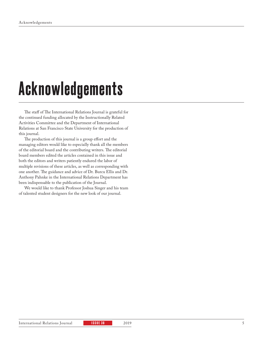# Acknowledgements

The staff of The International Relations Journal is grateful for the continued funding allocated by the Instructionally Related Activities Committee and the Department of International Relations at San Francisco State University for the production of this journal.

The production of this journal is a group effort and the managing editors would like to especially thank all the members of the editorial board and the contributing writers. The editorial board members edited the articles contained in this issue and both the editors and writers patiently endured the labor of multiple revisions of these articles, as well as corresponding with one another. The guidance and advice of Dr. Burcu Ellis and Dr. Anthony Pahnke in the International Relations Department has been indispensable to the publication of the Journal.

We would like to thank Professor Joshua Singer and his team of talented student designers for the new look of our journal.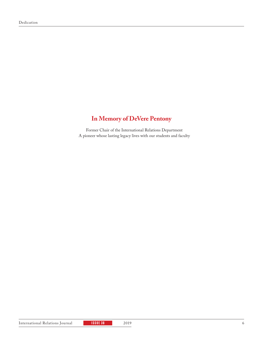### **In Memory of DeVere Pentony**

Former Chair of the International Relations Department A pioneer whose lasting legacy lives with our students and faculty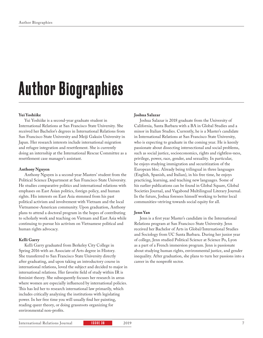# Author Biographies

#### **Yui Yoshiike**

Yui Yoshiike is a second-year graduate student in International Relations at San Francisco State University. She received her Bachelor's degrees in International Relations from San Francisco State University and Meiji Gakuin University in Japan. Her research interests include international migration and refugee integration and resettlement. She is currently doing an internship at the International Rescue Committee as a resettlement case manager's assistant.

#### **Anthony Nguyen**

Anthony Nguyen is a second-year Masters' student from the Political Science Department at San Francisco State University. He studies comparative politics and international relations with emphases on East Asian politics, foreign policy, and human rights. His interests on East Asia stemmed from his past political activism and involvement with Vietnam and the local Vietnamese-American community. Upon graduation, Anthony plans to attend a doctoral program in the hopes of contributing to scholarly work and teaching on Vietnam and East Asia while continuing to pursue his activism on Vietnamese political and human rights advocacy.

#### **Kelli Garry**

Kelli Garry graduated from Berkeley City College in Spring 2016 with an Associate of Arts degree in History. She transferred to San Francisco State University directly after graduating, and upon taking an introductory course in international relations, loved the subject and decided to major in international relations. Her favorite field of study within IR is feminist theory. She subsequently focuses her research in areas where women are especially influenced by international policies. This has led her to research international law primarily, which includes critically analyzing the institutions with legislating power. In her free time you will usually find her painting, reading queer theory, or doing grassroots organizing for environmental non-profits.

#### **Joshua Salazar**

Joshua Salazar is 2018 graduate from the University of California, Santa Barbara with a BA in Global Studies and a minor in Italian Studies. Currently, he is a Master's candidate in International Relations at San Francisco State University, who is expecting to graduate in the coming year. He is keenly passionate about dissecting intersectional and social problems, such as social justice, socioeconomics, rights and rightless-ness, privilege, power, race, gender, and sexuality. In particular, he enjoys studying immigration and securitization of the European bloc. Already being trilingual in three languages (English, Spanish, and Italian), in his free time, he enjoys practicing, learning, and teaching new languages. Some of his earlier publications can be found in Global Square, Global Societies Journal, and Vagabond Multilingual Literary Journal. In the future, Joshua foresees himself working to better local communities–striving towards social equity for all.

#### **Jenn Yan**

Jenn is a first year Master's candidate in the International Relations program at San Francisco State University. Jenn received her Bachelor of Arts in Global/International Studies and Sociology from UC Santa Barbara. During her junior year of college, Jenn studied Political Science at Science Po, Lyon as a part of a French immersion program. Jenn is passionate about studying human rights, environmental justice, and gender inequality. After graduation, she plans to turn her passions into a career in the nonprofit sector.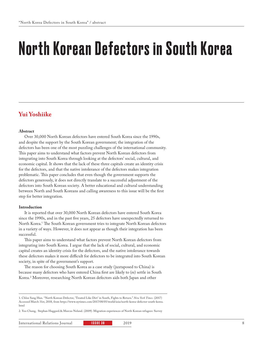# North Korean Defectors in South Korea

### **Yui Yoshiike**

#### **Abstract**

Over 30,000 North Korean defectors have entered South Korea since the 1990s, and despite the support by the South Korean government; the integration of the defectors has been one of the most puzzling challenges of the international community. This paper aims to understand what factors prevent North Korean defectors from integrating into South Korea through looking at the defectors' social, cultural, and economic capital. It shows that the lack of these three capitals create an identity crisis for the defectors, and that the native intolerance of the defectors makes integration problematic. This paper concludes that even though the government supports the defectors generously, it does not directly translate to a successful adjustment of the defectors into South Korean society. A better educational and cultural understanding between North and South Koreans and calling awareness to this issue will be the first step for better integration.

#### **Introduction**

It is reported that over 30,000 North Korean defectors have entered South Korea since the 1990s, and in the past five years, 25 defectors have unexpectedly returned to North Korea.<sup>1</sup> The South Korean government tries to integrate North Korean defectors in a variety of ways. However, it does not appear as though their integration has been successful.

This paper aims to understand what factors prevent North Korean defectors from integrating into South Korea. I argue that the lack of social, cultural, and economic capital creates an identity crisis for the defectors, and the native intolerance towards these defectors makes it more difficult for defectors to be integrated into South Korean society, in spite of the government's support.

The reason for choosing South Korea as a case study (juxtaposed to China) is because many defectors who have entered China first are likely to (re) settle in South Korea.2 Moreover, researching North Korean defectors aids both Japan and other

2. Yoo Chang, Stephan Haggard.& Marcus Noland. (2009). Migration experiences of North Korean refugees: Survey

<sup>1.</sup> Chloe Sang Hun. "North Korean Defector, 'Treated Like Dirt' in South, Fights to Return." *New York Times.* (2017) Accessed March 31st, 2018, from https://www.nytimes.com/2017/08/05/world/asia/north-korea-defector-south-korea. html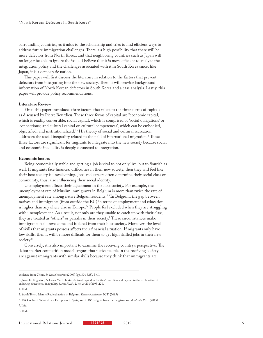surrounding countries, as it adds to the scholarship and tries to find efficient ways to address future immigration challenges. There is a high possibility that there will be more defectors from North Korea, and that neighboring countries such as Japan will no longer be able to ignore the issue. I believe that it is more efficient to analyze the integration policy and the challenges associated with it in South Korea since, like Japan, it is a democratic nation.

This paper will first discuss the literature in relation to the factors that prevent defectors from integrating into the new society. Then, it will provide background information of North Korean defectors in South Korea and a case analysis. Lastly, this paper will provide policy recommendations.

#### **Literature Review**

First, this paper introduces three factors that relate to the three forms of capitals as discussed by Pierre Bourdieu. These three forms of capital are "economic capital, which is readily convertible; social capital, which is comprised of 'social obligations' or 'connections'; and cultural capital or 'cultural competences', which can be embodied, objectified, and institutionalized."3 His theory of social and cultural recreation addresses the social inequality related to the field of international migration.4 These three factors are significant for migrants to integrate into the new society because social and economic inequality is deeply connected to integration.

#### **Economic factors**

Being economically stable and getting a job is vital to not only live, but to flourish as well. If migrants face financial difficulties in their new society, then they will feel like their host society is unwelcoming. Jobs and careers often determine their social class or community, thus, also influencing their social identity.

Unemployment affects their adjustment in the host society. For example, the unemployment rate of Muslim immigrants in Belgium is more than twice the rate of unemployment rate among native Belgian residents.5 "In Belgium, the gap between natives and immigrants (from outside the EU) in terms of employment and education is higher than anywhere else in Europe."6 People feel excluded when they are struggling with unemployment. As a result, not only are they unable to catch up with their class, they are treated as "others" or pariahs in their society.7 These circumstances make immigrants feel unwelcome and isolated from their host society. Moreover, the level of skills that migrants possess affects their financial situation. If migrants only have low skills, then it will be more difficult for them to get high skilled jobs in their new society.<sup>8</sup>

Conversely, it is also important to examine the receiving country's perspective. The 'labor market competition model' argues that native people in the receiving society are against immigrants with similar skills because they think that immigrants are

evidence from China. *In Korea Yearbook* (2009) (pp. 301-328). Brill.

<sup>3.</sup> Jason D. Edgerton, & Lance W. Roberts. Cultural capital or habitus? Bourdieu and beyond in the explanation of enduring educational inequality. *School Field* 12, no. 2 (2014):193-220.

<sup>4.</sup> Ibid.

<sup>5.</sup> Sarah Teich. Islamic Radicalization in Belgium. *Research Assistant*, ICT. (2015)

<sup>6.</sup> Rik Coolsaet. What drives Europeans to Syria, and to IS? Insights from the Belgian case. *Academia Press*. (2015)

<sup>7.</sup> Ibid.

<sup>8.</sup> Ibid.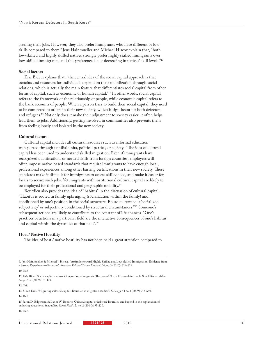stealing their jobs. However, they also prefer immigrants who have different or low skills compared to them.9 Jens Hainmueller and Michael Hiscox explain that, "both low-skilled and highly skilled natives strongly prefer highly skilled immigrants over low-skilled immigrants, and this preference is not decreasing in natives' skill levels."<sup>10</sup>

#### **Social factors**

Eric Bidet explains that, "the central idea of the social capital approach is that benefits and resources for individuals depend on their mobilization through social relations, which is actually the main feature that differentiates social capital from other forms of capital, such as economic or human capital."11 In other words, social capital refers to the framework of the relationship of people, while economic capital refers to the bank accounts of people. When a person tries to build their social capital, they need to be connected to others in their new society, which is significant for both defectors and refugees.12 Not only does it make their adjustment to society easier, it often helps lead them to jobs. Additionally, getting involved in communities also prevents them from feeling lonely and isolated in the new society.

#### **Cultural factors**

Cultural capital includes all cultural resources such as informal education transported through familial units, political parties, or society.13 The idea of cultural capital has been used to understand skilled migration. Even if immigrants have recognized qualifications or needed skills from foreign countries, employers will often impose native-based standards that require immigrants to have enough local, professional experiences among other barring certifications in their new society. These standards make it difficult for immigrants to access skilled jobs, and make it easier for locals to secure such jobs. Yet, migrants with institutional cultural capital are likely to be employed for their professional and geographic mobility.<sup>14</sup>

Bourdieu also provides the idea of "habitus" in the discussion of cultural capital. "Habitus is rooted in family upbringing (socialization within the family) and conditioned by one's position in the social structure. Bourdieu termed it 'socialized subjectivity' or subjectivity conditioned by structural circumstances."15 Someone's subsequent actions are likely to contribute to the constant of life chances. "One's practices or actions in a particular field are the interactive consequences of one's habitus and capital within the dynamics of that field".16

#### **Host / Native Hostility**

The idea of host / native hostility has not been paid a great attention compared to

13. Umut Erel. "Migrating cultural capital: Bourdieu in migration studies". *Sociology* 44 no.4 (2009):642-660. 14. Ibid.

15. Jason D. Edgerton, & Lance W. Roberts. Cultural capital or habitus? Bourdieu and beyond in the explanation of enduring educational inequality. *School Field* 12, no. 2 (2014):193-220.

16. Ibid.

<sup>9.</sup> Jens Hainmueller & Michael J. Hiscox. "Attitudes toward Highly Skilled and Low-skilled Immigration: Evidence from a Survey Experiment—Erratum". *American Political Science Review* 104, no.3 (2010): 624-624.

<sup>10.</sup> Ibid

<sup>11.</sup> Eric Bidet. Social capital and work integration of migrants: The case of North Korean defectors in South Korea. *Asian perspective.* (2009):151-179.

<sup>12.</sup> Ibid.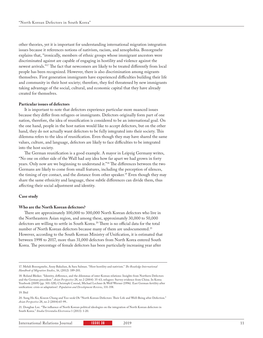other theories, yet it is important for understanding international migration integration issues because it references notions of nativism, racism, and xenophobia. Bozorgmehr explains that, "ironically, members of ethnic groups whose immigrant ancestors were discriminated against are capable of engaging in hostility and violence against the newest arrivals."17 The fact that newcomers are likely to be treated differently from local people has been recognized. However, there is also discrimination among migrants themselves. First generation immigrants have experienced difficulties building their life and community in their host society; therefore, they feel threatened by new immigrants taking advantage of the social, cultural, and economic capital that they have already created for themselves.

#### **Particular issues of defectors**

It is important to note that defectors experience particular more nuanced issues because they differ from refugees or immigrants. Defectors originally form part of one nation, therefore, the idea of reunification is considered to be an international goal. On the one hand, people in the host nation would like to accept defectors, but on the other hand, they do not actually want defectors to be fully integrated into their society. This dilemma refers to the idea of reunification. Even though they may have shared the same values, culture, and language, defectors are likely to face difficulties to be integrated into the host society.

The German reunification is a good example. A mayor in Leipzig Germany writes, "No one on either side of the Wall had any idea how far apart we had grown in forty years. Only now are we beginning to understand it."18 The differences between the two Germans are likely to come from small features, including the perception of silences, the timing of eye contact, and the distance from other speaker.19 Even though they may share the same ethnicity and language, these subtle differences can divide them, thus affecting their social adjustment and identity.

#### **Case study**

#### **Who are the North Korean defectors?**

There are approximately 100,000 to 300,000 North Korean defectors who live in the Northeastern Asian region, and among these, approximately 30,000 to 50,000 defectors are willing to settle in South Korea.<sup>20</sup> There is no official data for the total number of North Korean defectors because many of them are undocumented.<sup>21</sup> However, according to the South Korean Ministry of Unification, it is estimated that between 1998 to 2017, more than 31,000 defectors from North Korea entered South Korea. The percentage of female defectors has been particularly increasing year after

21. Dongbae Lee. "The influence of North Korean political ideologies on the integration of North Korean defectors in South Korea." *Studia Orientalia Electronica* 1 (2013): 1-20.

International Relations Journal **ISSUE 38** 2019 2019 11

<sup>17.</sup> Mehdi Bozorgmehr, Anny Bakalian, & Sara Salman. "Host hostility and nativism." *The Routledge International Handbook of Migration Studies*, 16, (2012): 189-201.

<sup>18.</sup> Roland Bleiker. "Identity, difference, and the dilemmas of inter-Korean relations: Insights from Northern Defectors and the German precedent." *Asian Perspective* 28, no 2 (2004): 35-63; refugees: Survey evidence from China. In Korea Yearbook (2009) (pp. 301-328); Christoph Conrad, Michael Lechner & Welf Werner (1996). East German fertility after unification: crisis or adaptation?. *Population and Development Review*, 331-358.

<sup>19.</sup> Ibid

<sup>20.</sup> Sung Ho Ko, Kiseon Chung and Yoo-seok Oh "North Korean Defectors: Their Life and Well-Being after Defection." *Asian Perspective* 28, no 2 (2004):65-99..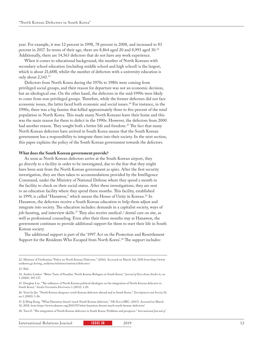year. For example, it was 12 percent in 1998, 78 percent in 2008, and increased to 83 percent in 2017. In terms of their age, there are 8,864 aged 20 and 8,993 aged 30.22 Additionally, there are 14,563 defectors that do not have any work experience.

When it comes to educational background, the number of North Koreans with secondary school education (including middle school and high school) is the largest, which is about 21,688l, whilst the number of defectors with a university education is only about 2,143.<sup>23</sup>

Defectors from North Korea during the 1970s to 1980s were coming from privileged social groups, and their reason for departure was not an economic decision, but an ideological one. On the other hand, the defectors in the mid-1990s were likely to come from non-privileged groups. Therefore, while the former defectors did not face economic issues, the latter faced both economic and social issues.<sup>24</sup> For instance, in the 1990s, there was a big famine that killed approximately three to five percent of the total population in North Korea. This made many North Koreans leave their home and this was the main reason for them to defect in the 1990s. However, the defectors from 2000 had another reason. They sought both a better life and freedom.<sup>25</sup> The fact that many North Korean defectors have arrived in South Korea means that the South Korean government has a responsibility to integrate them into their society. In the next section, this paper explains the policy of the South Korean government towards the defectors.

#### **What does the South Korean government provide?**

As soon as North Korean defectors arrive at the South Korean airport, they go directly to a facility in order to be investigated, due to the fear that they might have been sent from the North Korean government as spies. After the first security investigation, they are then taken to accommodations provided by the Intelligence Command, under the Ministry of National Defense where they spend a month in the facility to check on their social status. After these investigations, they are sent to an education facility where they spend three months. This facility, established in 1999, is called "Hanawon," which means the House of Unity in Korean.<sup>26</sup> In Hanawon, the defectors receive a South Korean education to help them adjust and integrate into society. The education includes: demands in a capitalist society, ways of job-hunting, and interview skills.<sup>27</sup> They also receive medical / dental care on site, as well as professional counseling. Even after their three months stay at Hanawon, the government continues to provide additional support for them to start their life in South Korean society.

The additional support is part of the '1997 Act on the Protection and Resettlement Support for the Residents Who Escaped from North Korea'.<sup>28</sup> The support includes:

<sup>22.</sup> Ministry of Unification."Policy on North Korean Defectors." (2016). Accessed on March 3rd, 2018 from http://www. unikorea.go.kr/eng\_unikorea/relations/statistics/defectors/

<sup>23.</sup> Ibid

<sup>24.</sup> Andrei Lankov. "Bitter Taste of Paradise: North Korean Refugees in South Korea." *Journal of East Asian Studies* 6, no 1 (2006): 105-137.

<sup>25.</sup> Dongbae Lee. "The influence of North Korean political ideologies on the integration of North Korean defectors in South Korea." *Studia Orientalia Electronica* 1 (2013): 1-20.

<sup>26.</sup> Yoon In-Jin. "North Korean diaspora: north Korean defectors abroad and in South Korea." *Development and Society* 30, no.1 (2001): 1-26.

<sup>27.</sup> Ji Ming Kang. "What Hanawon doesn't teach North Korean defectors." *NK News*.ORG. (2015). Accessed in March 10, 2018, from https://www.nknews.org/2015/07/what-hanawon-doesnt-teach-north-korean-defectors/

<sup>28.</sup> Tara O. "The integration of North Korean defectors in South Korea: Problems and prospects." *International Journal of*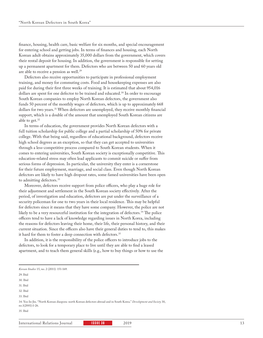finance, housing, health care, basic welfare for six months, and special encouragement for entering school and getting jobs. In terms of finances and housing, each North Korean adult obtains approximately 35,000 dollars from the government, which covers their rental deposit for housing. In addition, the government is responsible for setting up a permanent apartment for them. Defectors who are between 50 and 60 years old are able to receive a pension as well.<sup>29</sup>

Defectors also receive opportunities to participate in professional employment training, and money for commuting costs. Food and housekeeping expenses are also paid for during their first three weeks of training. It is estimated that about 954,016 dollars are spent for one defector to be trained and educated.<sup>30</sup> In order to encourage South Korean companies to employ North Korean defectors, the government also funds 50 percent of the monthly wages of defectors, which is up to approximately 668 dollars for two years.<sup>31</sup> When defectors are unemployed, they receive monthly financial support, which is a double of the amount that unemployed South Korean citizens are able to get.32

In terms of education, the government provides North Korean defectors with a full tuition scholarship for public college and a partial scholarship of 50% for private college. With that being said, regardless of educational background, defectors receive high school degrees as an exception, so that they can get accepted to universities through a less-competitive process compared to South Korean students. When it comes to entering universities, South Korean society is exceptionally competitive. This education-related stress may often lead applicants to commit suicide or suffer from serious forms of depression. In particular, the university they enter is a cornerstone for their future employment, marriage, and social class. Even though North Korean defectors are likely to have high dropout rates, some famed universities have been open to admitting defectors.<sup>33</sup>

Moreover, defectors receive support from police officers, who play a huge role for their adjustment and settlement in the South Korean society effectively. After the period, of investigation and education, defectors are put under the surveillance of a security policeman for one to two years in their local residence. This may be helpful for defectors since it means that they have some company. However, the police are not likely to be a very resourceful institution for the integration of defectors.<sup>34</sup> The police officers tend to have a lack of knowledge regarding issues in North Korea, including the reasons for defectors leaving their home, their life, their personal history, and their current situation. Since the officers also have their general duties to tend to, this makes it hard for them to foster a deep connection with defectors.<sup>35</sup>

In addition, it is the responsibility of the police officers to introduce jobs to the defectors, to look for a temporary place to live until they are able to find a leased apartment, and to teach them general skills (e.g., how to buy things or how to use the

34. Yoo In-Jin. "North Korean diaspora: north Korean defectors abroad and in South Korea." *Development and Society* 30, no.1(2001):1-26.

*Korean Studies* 15, no. 2 (2011): 151-169.

<sup>29.</sup> Ibid

<sup>30.</sup> Ibid

<sup>31.</sup> Ibid

<sup>32.</sup> Ibid

<sup>33.</sup> Ibid

<sup>35.</sup> Ibid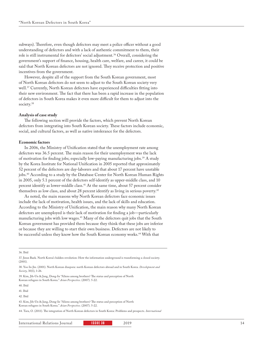subways). Therefore, even though defectors may meet a police officer without a good understanding of defectors and with a lack of authentic commitment to them, their role is still instrumental for defectors' social adjustment.36 Overall, considering the government's support of finance, housing, health care, welfare, and career, it could be said that North Korean defectors are not ignored. They receive protection and positive incentives from the government.

However, despite all of the support from the South Korean government, most of North Korean defectors do not seem to adjust to the South Korean society very well.37 Currently, North Korean defectors have experienced difficulties fitting into their new environment. The fact that there has been a rapid increase in the population of defectors in South Korea makes it even more difficult for them to adjust into the society.<sup>38</sup>

#### **Analysis of case study**

The following section will provide the factors, which prevent North Korean defectors from integrating into South Korean society. These factors include economic, social, and cultural factors, as well as native intolerance for the defectors.

#### **Economic factors**

In 2006, the Ministry of Unification stated that the unemployment rate among defectors was 36.5 percent. The main reason for their unemployment was the lack of motivation for finding jobs; especially low-paying manufacturing jobs.39 A study by the Korea Institute for National Unification in 2005 reported that approximately 52 percent of the defectors are day-laborers and that about 17 percent have unstable jobs.<sup>40</sup> According to a study by the Database Center for North Korean Human Rights in 2005, only 5.1 percent of the defectors self-identify as upper-middle class, and 10 percent identify as lower-middle class.41 At the same time, about 57 percent consider themselves as low class, and about 28 percent identify as living in serious poverty.<sup>42</sup>

As noted, the main reasons why North Korean defectors face economic issues include the lack of motivation, health issues, and the lack of skills and education. According to the Ministry of Unification, the main reason why many North Korean defectors are unemployed is their lack of motivation for finding a job—particularly manufacturing jobs with low wages.43 Many of the defectors quit jobs that the South Korean government has provided them because they think that these jobs are inferior or because they are willing to start their own business. Defectors are not likely to be successful unless they know how the South Korean economy works.<sup>44</sup> With that

36. Ibid

44. Tara, O. (2011). The integration of North Korean defectors in South Korea: Problems and prospects. *International* 

<sup>37.</sup> Jieun Baek. North Korea's hidden revolution: How the information underground is transforming a closed society.  $(2001)$ 

<sup>38.</sup> Yoo In-Jin. (2001). North Korean diaspora: north Korean defectors abroad and in South Korea. *Development and Society*, 30(1), 1-26.

<sup>39.</sup> Kim, Jih-Un & Jang, Dong-In "Aliens among brothers? The status and perception of North Korean refugees in South Korea." *Asian Perspective*. (2007). 5-22.

<sup>40.</sup> Ibid

<sup>41.</sup> Ibid

<sup>42.</sup> Ibid

<sup>43.</sup> Kim, Jih-Un & Jang, Dong-In "Aliens among brothers? The status and perception of North Korean refugees in South Korea." *Asian Perspective*. (2007). 5-22.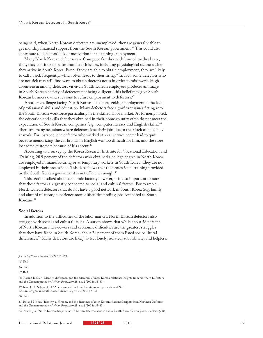being said, when North Korean defectors are unemployed, they are generally able to get monthly financial support from the South Korean government.<sup>45</sup> This could also contribute to defectors' lack of motivation for sustaining employment.

Many North Korean defectors are from poor families with limited medical care, thus, they continue to suffer from health issues, including physiological sickness after they arrive in South Korea. Even if they are able to obtain employment, they are likely to call in sick frequently, which often leads to their firing.<sup>46</sup> In fact, some defectors who are not sick may still find ways to obtain doctor's notes in order to miss work. High absenteeism among defectors vis-à-vis South Korean employees produces an image in South Korean society of defectors not being diligent. This belief may give South Korean business owners reasons to refuse employment to defectors.<sup>47</sup>

Another challenge facing North Korean defectors seeking employment is the lack of professional skills and education. Many defectors face significant issues fitting into the South Korean workforce particularly in the skilled labor market. As formerly noted, the education and skills that they obtained in their home country often do not meet the expectation of South Korean companies (e.g., computer literacy and English skills.)<sup>48</sup> There are many occasions where defectors lose their jobs due to their lack of efficiency at work. For instance, one defector who worked at a car service center had to quit because memorizing the car brands in English was too difficult for him, and the store lost some customers because of his accent.<sup>49</sup>

According to a survey by the Korea Research Institute for Vocational Education and Training, 28.9 percent of the defectors who obtained a college degree in North Korea are employed in manufacturing or as temporary workers in South Korea. They are not employed in their professions. This data shows that the professional training provided by the South Korean government is not efficient enough.<sup>50</sup>

This section talked about economic factors; however, it is also important to note that these factors are greatly connected to social and cultural factors. For example, North Korean defectors that do not have a good network in South Korea (e.g. family and alumni relations) experience more difficulties finding jobs compared to South Koreans.<sup>51</sup>

#### **Social factors**

In addition to the difficulties of the labor market, North Korean defectors also struggle with social and cultural issues. A survey shows that while about 58 percent of North Korean interviewees said economic difficulties are the greatest struggles that they have faced in South Korea, about 21 percent of them listed sociocultural differences.<sup>52</sup> Many defectors are likely to feel lonely, isolated, subordinate, and helpless.

46. Ibid

47. Ibid

48. Roland Bleiker. "Identity, difference, and the dilemmas of inter-Korean relations: Insights from Northern Defectors and the German precedent." *Asian Perspective* 28, no. 2 (2004): 35-63.

49. Kim, J. U., & Jang, D. J. "Aliens among brothers? The status and perception of North Korean refugees in South Korea." *Asian Perspective*. (2007). 5-22.

51. Roland Bleiker. "Identity, difference, and the dilemmas of inter-Korean relations: Insights from Northern Defectors and the German precedent." *Asian Perspective* 28, no. 2 (2004): 35-63.

52. Yoo In-Jin. "North Korean diaspora: north Korean defectors abroad and in South Korea." *Development and Society* 30,

*Journal of Korean Studies*, 15(2), 151-169.

<sup>45.</sup> Ibid

<sup>50.</sup> Ibid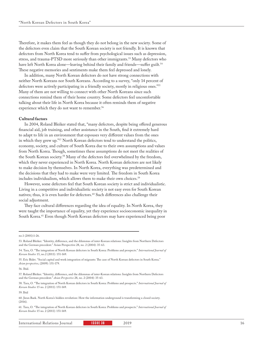Therefore, it makes them feel as though they do not belong in the new society. Some of the defectors even claim that the South Korean society is not friendly. It is known that defectors from North Korea tend to suffer from psychological issues such as depression, stress, and trauma-PTSD more seriously than other immigrants.53 Many defectors who have left North Korea alone—leaving behind their family and friends—suffer guilt.<sup>54</sup> These negative memories and sentiments make them feel depressed and lonely.

In addition, many North Korean defectors do not have strong connections with neither North Koreans nor South Koreans. According to a survey, "only 14 percent of defectors were actively participating in a friendly society, mostly in religious ones."55 Many of them are not willing to connect with other North Koreans since such connections remind them of their home country. Some defectors feel uncomfortable talking about their life in North Korea because it often reminds them of negative experience which they do not want to remember.<sup>56</sup>

#### **Cultural factors**

In 2004, Roland Bleiker stated that, "many defectors, despite being offered generous financial aid, job training, and other assistance in the South, find it extremely hard to adapt to life in an environment that espouses very different values from the ones in which they grew up."57 North Korean defectors tend to understand the politics, economy, society, and culture of South Korea due to their own assumptions and values from North Korea. Though, sometimes these assumptions do not meet the realities of the South Korean society.58 Many of the defectors feel overwhelmed by the freedom, which they never experienced in North Korea. North Korean defectors are not likely to make decision by themselves. In North Korea, everything was predetermined and the decisions that they had to make were very limited. The freedom in South Korea includes individualism, which allows them to make their own choices.<sup>59</sup>

However, some defectors feel that South Korean society is strict and individualistic. Living in a competitive and individualistic society is not easy even for South Korean natives; thus, it is even harder for defectors.<sup>60</sup> Such differences also challenge their social adjustment.

They face cultural differences regarding the idea of equality. In North Korea, they were taught the importance of equality, yet they experience socioeconomic inequality in South Korea.<sup>61</sup> Even though North Korean defectors may have experienced being poor

56. Ibid.

60. Jieun Baek. North Korea's hidden revolution: How the information underground is transforming a closed society. (2016).

61. Tara, O. "The integration of North Korean defectors in South Korea: Problems and prospects." *International Journal of Korean Studies* 15 no. 2 (2011): 151-169.

International Relations Journal **ISSUE 38 2019** 2019

no.1 (2001):1-26.

<sup>53.</sup> Roland Bleiker. "Identity, difference, and the dilemmas of inter-Korean relations: Insights from Northern Defectors and the German precedent." Asian Perspective 28, no. 2 (2004): 35-63.

<sup>54.</sup> Tara, O. "The integration of North Korean defectors in South Korea: Problems and prospects." *International Journal of Korean Studies* 15, no.2 (2011): 151-169.

<sup>55.</sup> Eric Bidet. "Social capital and work integration of migrants: The case of North Korean defectors in South Korea." *Asian perspective*, (2009): 151-179.

<sup>57.</sup> Roland Bleiker. "Identity, difference, and the dilemmas of inter-Korean relations: Insights from Northern Defectors and the German precedent." *Asian Perspective* 28, no. 2 (2004): 35-63.

<sup>58.</sup> Tara, O. "The integration of North Korean defectors in South Korea: Problems and prospects." *International Journal of Korean Studies* 15 no. 2 (2011): 151-169.

<sup>59.</sup> Ibid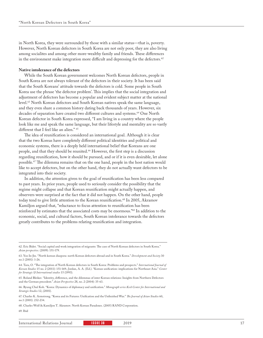in North Korea, they were surrounded by those with a similar status—that is, poverty. However, North Korean defectors in South Korea are not only poor, they are also living among socialites and among other more-wealthy family and friends. These differences in the environment make integration more difficult and depressing for the defectors. $62$ 

#### **Native intolerance of the defectors**

While the South Korean government welcomes North Korean defectors, people in South Korea are not always tolerant of the defectors in their society. It has been said that the South Koreans' attitude towards the defectors is cold. Some people in South Korea use the phrase 'the defector problem'. This implies that the social integration and adjustment of defectors has become a popular and evident subject matter at the national level.63 North Korean defectors and South Korean natives speak the same language, and they even share a common history dating back thousands of years. However, six decades of separation have created two different cultures and systems.<sup>64</sup> One North Korean defector in South Korea expressed, "I am living in a country where the people look like me and speak the same language, but their lifestyle and mentality are so vastly different that I feel like an alien." 65

The idea of reunification is considered an international goal. Although it is clear that the two Koreas have completely different political identities and political and economic systems, there is a deeply held international belief that Koreans are one people, and that they should be reunited.<sup>66</sup> However, the first step is a discussion regarding reunification, how it should be pursued, and or if it is even desirable, let alone possible.67 The dilemma remains that on the one hand, people in the host nation would like to accept defectors, but on the other hand, they do not actually want defectors to be integrated into their society.

In addition, the attention given to the goal of reunification has been less compared to past years. In prior years, people used to seriously consider the possibility that the regime might collapse and that Korean reunification might actually happen, and observers were surprised at the fact that it did not happen. On the other hand, people today tend to give little attention to the Korean reunification.<sup>68</sup> In 2005, Akramov Kamiljon argued that, "reluctance to focus attention to reunification has been reinforced by estimates that the associated costs may be enormous."69 In addition to the economic, social, and cultural factors, South Korean intolerance towards the defectors greatly contributes to the problems relating reunification and integration.

65. Roland Bleiker. "Identity, difference, and the dilemmas of inter-Korean relations: Insights from Northern Defectors and the German precedent." *Asian Perspective* 28, no. 2 (2004): 35-63.

69. Ibid

<sup>62.</sup> Eric Bidet. "Social capital and work integration of migrants: The case of North Korean defectors in South Korea." *Asian perspective*. (2009): 151-179.

<sup>63.</sup> Yoo In-Jin. "North korean diaspora: north Korean defectors abroad and in South Korea." *Development and Society* 30 no.1 (2001): 1-26.

<sup>64.</sup> Tara, O. "The integration of North Korean defectors in South Korea: Problems and prospects." *International Journal of Korean Studies* 15 no. 2 (2011): 151-169.; Jordan, A. A. (Ed.). "Korean unification: implications for Northeast Asia." *Center for Strategic & International studies* 15 (1993).

<sup>66.</sup> Byung Chul Koh. "Korea: Dynamics of diplomacy and unification." *Monograph series Keck Center for International and Strategic Studies* 12, (2001).

<sup>67.</sup> Charles K. Armstrong. "Korea and its Futures: Unification and the Unfinished War." *The Journal of Asian Studies* 60, no.1 (2001). 232-234.

<sup>68.</sup> Charles Wolf & Kamiljon T. Akramov. North Korean Paradoxes. (2005) RAND Corporation.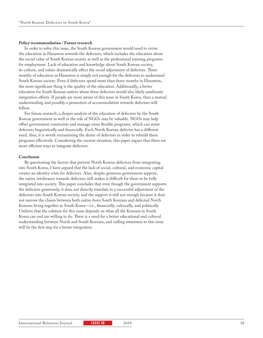#### **Policy recommendation / Future research**

In order to solve this issue, the South Korean government would need to revise the education in Hanawon towards the defectors, which includes the education about the social value of South Korean society as well as the professional training programs for employment. Lack of education and knowledge about South Korean society, its culture, and values dramatically affect the social adjustment of defectors. Three months of education in Hanawon is simply not enough for the defectors to understand South Korean society. Even if defectors spend more than three months in Hanawon, the most significant thing is the quality of the education. Additionally, a better education for South Korean natives about these defectors would also likely ameliorate integration efforts. If people are more aware of this issue in South Korea, then a mutual understanding and possibly a promotion of accommodation towards defectors will follow.

For future research, a deeper analysis of the education of defectors by the South Korean government as well as the role of NGOs may be valuable. NGOs may help offset government constraints and manage more flexible programs, which can assist defectors linguistically and financially. Each North Korean defector has a different need, thus, it is worth reexamining the desire of defectors in order to rebuild these programs effectively. Considering the current situation, this paper argues that there are more efficient ways to integrate defectors.

#### **Conclusion**

By questioning the factors that prevent North Korean defectors from integrating into South Korea, I have argued that the lack of social, cultural, and economic capital creates an identity crisis for defectors. Also, despite generous government support, the native intolerance towards defectors still makes it difficult for them to be fully integrated into society. This paper concludes that even though the government supports the defectors generously, it does not directly translate to a successful adjustment of the defectors into South Korean society, and the support is still not enough because it does not narrow the chasm between both native-born South Koreans and defected North Koreans living together in South Korea—i.e., financially, culturally, and politically. I believe that the solution for this issue depends on what all the Koreans in South Korea can and are willing to do. There is a need for a better educational and cultural understanding between North and South Koreans, and calling awareness to this issue will be the first step for a better integration.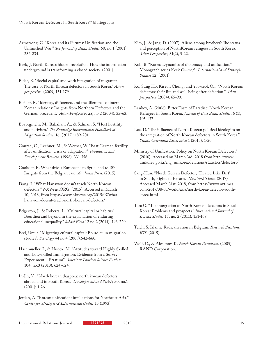- Armstrong, C. "Korea and its Futures: Unification and the Unfinished War." *The Journal of Asian Studies* 60, no.1 (2001). 232-234.
- Baek, J. North Korea's hidden revolution: How the information underground is transforming a closed society. (2001).
- Bidet, E. "Social capital and work integration of migrants: The case of North Korean defectors in South Korea." *Asian perspective*. (2009):151-179.
- Bleiker, R. "Identity, difference, and the dilemmas of inter-Korean relations: Insights from Northern Defectors and the German precedent." *Asian Perspective 28*, no 2 (2004): 35-63.
- Bozorgmehr, M., Bakalian, A., & Salman, S. "Host hostility and nativism." *The Routledge International Handbook of Migration Studies*, 16, (2012): 189-201.
- Conrad, C., Lechner, M., & Werner, W. "East German fertility after unification: crisis or adaptation?" *Population and Development Review*. (1996): 331-358.
- Coolsaet, R. What drives Europeans to Syria, and to IS? Insights from the Belgian case. *Academia Press*. (2015)
- Dang, J. "What Hanawon doesn't teach North Korean defectors." *NK News*.ORG. (2015). Accessed in March 10, 2018, from https://www.nknews.org/2015/07/whathanawon-doesnt-teach-north-korean-defectors/
- Edgerton, J., & Roberts, L. "Cultural capital or habitus? Bourdieu and beyond in the explanation of enduring educational inequality." *School Field* 12 no.2 (2014): 193-220.
- Erel, Umut. "Migrating cultural capital: Bourdieu in migration studies". *Sociology* 44 no.4 (2009):642-660.
- Hainmueller, J., & Hiscox, M. "Attitudes toward Highly Skilled and Low-skilled Immigration: Evidence from a Survey Experiment—Erratum". *American Political Science Review* 104, no.3 (2010): 624-624.
- In-Jin, Y . "North korean diaspora: north korean defectors abroad and in South Korea." *Development and Society* 30, no.1 (2001): 1-26.
- Jordan, A. "Korean unification: implications for Northeast Asia." *Center for Strategic & International studies* 15 (1993).
- Kim, J., & Jang, D. (2007). Aliens among brothers? The status and perception of NorthKorean refugees in South Korea. *Asian Perspective*, 31(2), 5-22.
- Koh, B. "Korea: Dynamics of diplomacy and unification." Monograph series Keck *Center for International and Strategic Studies* 12, (2001).
- Ko, Sung Ho, Kiseon Chung, and Yoo-seok Oh. "North Korean defectors: their life and well-being after defection." *Asian perspective* (2004): 65-99.
- Lankov, A. (2006). Bitter Taste of Paradise: North Korean Refugees in South Korea. *Journal of East Asian Studies*, 6 (1), 105-137.
- Lee, D. "The influence of North Korean political ideologies on the integration of North Korean defectors in South Korea." *Studia Orientalia Electronica* 1 (2013): 1-20.
- Ministry of Unification."Policy on North Korean Defectors." (2016). Accessed on March 3rd, 2018 from http://www. unikorea.go.kr/eng\_unikorea/relations/statistics/defectors/
- Sang-Hun. "North Korean Defector, 'Treated Like Dirt' in South, Fights to Return." *New York Times.* (2017) Accessed March 31st, 2018, from https://www.nytimes. com/2017/08/05/world/asia/north-korea-defector-southkorea.html
- Tara O. "The integration of North Korean defectors in South Korea: Problems and prospects." *International Journal of Korean Studies* 15, no. 2 (2011): 151-169.
- Teich, S. Islamic Radicalization in Belgium. *Research Assistant*, *ICT*. (2015)
- Wolf, C., & Akramov, K. *North Korean Paradoxes*. (2005) RAND Corporation.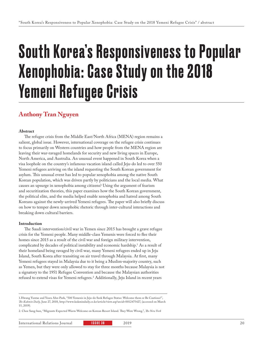# South Korea's Responsiveness to Popular Xenophobia: Case Study on the 2018 Yemeni Refugee Crisis

### **Anthony Tran Nguyen**

#### **Abstract**

The refugee crisis from the Middle East/North Africa (MENA) region remains a salient, global issue. However, international coverage on the refugee crisis continues to focus primarily on Western countries and how people from the MENA region are leaving their war-ravaged homelands for security and new living spaces in Europe, North America, and Australia. An unusual event happened in South Korea when a visa loophole on the country's infamous vacation island called Jeju-do led to over 550 Yemeni refugees arriving on the island requesting the South Korean government for asylum. This unusual event has led to popular xenophobia among the native South Korean population, which was driven partly by politicians and the local media. What causes an upsurge in xenophobia among citizens? Using the argument of fearism and securitization theories, this paper examines how the South Korean government, the political elite, and the media helped enable xenophobia and hatred among South Koreans against the newly-arrived Yemeni refugees. The paper will also briefly discuss on how to temper down xenophobic rhetoric through inter-cultural interactions and breaking down cultural barriers.

#### **Introduction**

The Saudi intervention/civil war in Yemen since 2015 has brought a grave refugee crisis for the Yemeni people. Many middle-class Yemenis were forced to flee their homes since 2015 as a result of the civil war and foreign military intervention, complicated by decades of political instability and economic hardship.1 As a result of their homeland being ravaged by civil war, many Yemeni refugees ended up in Jeju Island, South Korea after transiting on air travel through Malaysia. At first, many Yemeni refugees stayed in Malaysia due to it being a Muslim-majority country, such as Yemen, but they were only allowed to stay for three months because Malaysia is not a signatory to the 1951 Refugee Convention and because the Malaysian authorities refused to extend visas for Yemeni refugees.2 Additionally, Jeju Island in recent years

<sup>1.</sup>Hwang Yuntae and Yeara Ahn-Park, "500 Yemenis in Jeju-do Seek Refugee Status: Welcome them or Be Cautious?", *The Kukmin Daily,* June 27, 2018, http://www.kukmindaily.co.kr/article/view.asp?arcid=0012475427, (accessed on March 15, 2019).

<sup>2.</sup> Choe Sang-hun, "Migrants Expected Warm Welcome on Korean Resort Island. They Were Wrong.", *The New York*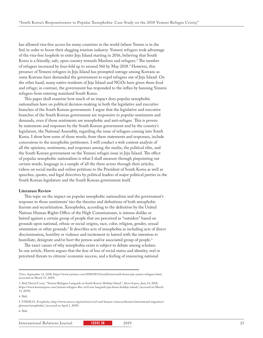has allowed visa-free access for many countries in the world (where Yemen is in the list) in order to boost their slugging tourism industry. Yemeni refugees took advantage of the visa-free loophole to enter Jeju Island starting in 2016, believing that South Korea is a friendly, safe, open country towards Muslims and refugees.<sup>3</sup> The number of refugees increased by four-fold up to around 560 by May 2018.4 However, this presence of Yemeni refugees in Jeju Island has prompted outrage among Koreans as some Koreans have demanded the government to expel refugees out of Jeju Island. On the other hand, many native residents of Jeju Island and NGOs have given them food and refuge; in contrast, the government has responded to the influx by banning Yemeni refugees from entering mainland South Korea.

This paper shall examine how much of an impact does popular xenophobic nationalism have on political decision-making in both the legislative and executive branches of the South Korean government. I argue that the legislative and executive branches of the South Korean government are responsive to popular sentiments and demands, even if those sentiments are xenophobic and anti-refugee. This is proven by statements and responses by the South Korean government and by the country's legislature, the National Assembly, regarding the issue of refugees coming into South Korea. I show how some of those words, from these statements and responses, include concessions to the xenophobic petitioners. I will conduct a web content analysis of all the opinions, sentiments, and responses among the media, the political elite, and the South Korean government on the Yemeni refugee issue in Jeju Island. The effect of popular xenophobic nationalism is what I shall measure through pinpointing out certain words, language in a sample of all the three actors through their articles, videos on social media and online petitions to the President of South Korea as well as speeches, quotes, and legal directives by political leaders of major political parties in the South Korean legislature and the South Korean government itself.

#### **Literature Review**

This topic on the impact on popular xenophobic nationalism and the government's response to those sentiments' ties the theories and definitions of both xenophobic fearism and securitization. Xenophobia, according to the definition by the United Nations Human Rights Office of the High Commissioner, is intense dislike or hatred against a certain group of people that are perceived as "outsiders" based on grounds upon national, ethnic or social origins, race, color, religion, gender, sexual orientation or other grounds.5 It describes acts of xenophobia as including acts of direct discrimination, hostility or violence and incitement to hatred with the intention to humiliate, denigrate and/or hurt the person and/or associated group of people.<sup>6</sup>

The exact causes of why xenophobia exists is subject to debate among scholars. In one article, Harris argues that the fear of loss of social status and identity, real or perceived threats to citizens' economic success, and a feeling of reassuring national

*Times*, September 12, 2018, https://www.nytimes.com/2018/09/12/world/asia/south-korea-jeju-yemen-refugees.html, (accessed on March 15, 2019).

<sup>3.</sup> Ibid; Darryl Coote, "Yemeni Refugees Languish on South Korea's Holiday Island.", *Korea Expose*, June 14, 2018, https://www.koreaexpose.com/yemeni-refugees-flee-civil-war-languish-jeju-korea-holiday-island/, (accessed on March 15, 2019).

<sup>4.</sup> Ibid.

<sup>5.</sup> UNESCO, *Xenophobia*, http://www.unesco.org/new/en/social-and-human-sciences/themes/international-migration/ glossary/xenophobia/, (accessed on April 1, 2019).

<sup>6.</sup> Ibid.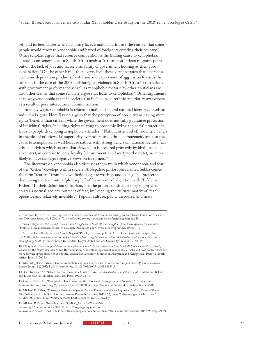self and its boundaries when a country faces a national crisis are the reasons that some people would resort to xenophobia and hatred of foreigners entering their country.7 Other scholars argue that resource competition is the leading cause to xenophobia, as studies on xenophobia in South Africa against African non-citizen migrants point out on the lack of jobs and scarce availability of government housing as their core explanation.8 On the other hand, the poverty hypothesis demonstrates that a person's economic deprivation produces frustration and expressions of aggression towards the other, as in the case of the 2008 anti-foreigner violence in South Africa.<sup>9</sup> Frustrations with government performance as well as xenophobic rhetoric by other politicians are also other claims that some scholars argue that leads to xenophobia.10 Other arguments as to why xenophobia exists in society also include racial/ethnic superiority over others as a result of poor intercultural communication.<sup>11</sup>

In many ways, xenophobia is related to nationalism and national identity, as well as individual rights. Here Kaysen argues that the perception of non-citizens having more rights/benefits than citizens while the government does not fully guarantee protection of individual rights, including rights relating to economic living and social protections, leads to people developing xenophobia attitudes.12 Nationalistic and ethnocentric beliefs in the idea of ethnic/racial superiority over others and ethnic homogeneity are also the cause to xenophobia as well because natives with strong beliefs on national identity (i.e. ethnic nativism which asserts that citizenship is acquired primarily by birth inside of a country), in contrast to, civic loyalty (commitment and loyalty to the state), are more likely to have stronger negative views on foreigners.<sup>13</sup>

The literature on xenophobia also discusses the ways in which xenophobia and fear of the "Other" develops within society. A Nepalese philosopher named Subba coined the term "fearism" from his own fictional genre writings and led a global project in developing the term into a "philosophy" of fearism in collaboration with R. Michael Fisher.14 In their definition of fearism, it is the process of discourse hegemony that creates a normalized environment of fear, by "keeping the cultural matrix of 'fear' operative and relatively invisible".15 Popular culture, public discourse, and news

10. Pillay et al., *Citizenship, violence and xenophobia in South Africa: Perceptions from South African Communities*, 45-46; Centre for the Study of Violence and Reconciliation, Understanding current xenophobic attacks and how South Africa can move forward (presentation at the South African Parliamentary Seminar on Migration and Xenophobia, Pretoria, South Africa, June 20, 2008.)

11. Matt Mogekwu, "African Union: Xenophobia as poor intercultural information," *Ecquid Novi: African Journalism Studies* 26, no. 1 (2005): 5-20, https://doi.org/10.1080/02560054.2005.9653315.

12 . Carl Kaysen, "Are Nations Natural Economic Units?" in *Racism, Xenophobia, and Ethnic Conflict*, ed. Simon Bekker and David Carlton, (Durban: Indicator Press, 1996), 31-48.

13. Oksana Yakushko, "Xenophobia: Understanding the Roots and Consequences of Negative Attitudes toward Immigrants," *The Counseling Psychologist* 37, no. 1 (2009): 45, http://digitalcommons.unl.edu/edpsychpapers/90/

14. Michael R. Fisher, "*Fearism: A Critical Analysis of Uses and Discourses in Global Migration Studies", Technical Paper*  64 (Carbondale, IL: In Search of Fearlessness Research Institute, 2017), 12, https://prism.ucalgary.ca/bitstream/ handle/1880/110031/Tech%20paper%2064.pdf?sequence=1&isAllowed=y0.

15. Michael R Fisher, "Invoking 'Fear' Studies", *Journal of Curriculum* 

*Theorizing* 22, no.4 (Winter 2006): 51, http://go.galegroup.com/ps/

anonymous?id=GALE%7CA173422693&sid=googleScholar&v=2.1&it=r&linaccess=fulltext&issn=1057896X&p=AON

International Relations Journal **ISSUE 38 2019** 2019

<sup>7.</sup> Bronwyn Harris, 'A Foreign Experience: Violence, Crime and Xenophobia during South Africa's Transition', *Violence and Transition Series,* vol. 5 (2001): 70, http://www.csvr.org.za/docs/racism/aforeignexperience.pdf

<sup>8.</sup> Suren Pillay et al., *Citizenship, Violence and Xenophobia in South Africa: Perceptions from South African Communities*, (Pretoria: Human Sciences Research Council, Democracy and Governance Programme, 2008), 7-8.

<sup>9.</sup> Christine Fauvelle-Aymar and Aurelia Segatti, 'People, space and politics: An exploration of factors explaining the 2008 anti-foreigner violence in South Africa' in *Exorcising the demons within: Xenophobia, violence and statecraft in contemporary South Africa*, ed. Loren B. Landau (Tokyo: United Nations University Press, 2012) 58–89.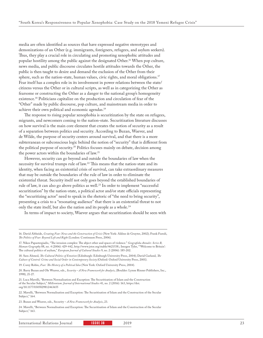media are often identified as sources that have expressed negative stereotypes and demonizations of an Other (e.g. immigrants, foreigners, refugees, and asylum seekers). Thus, they play a crucial role in circulating and promoting xenophobic attitudes and popular hostility among the public against the designated Other.16 When pop culture, news media, and public discourse circulates hostile attitudes towards the Other, the public is then taught to desire and demand the exclusion of the Other from their sphere, such as the nation-state, human values, civic rights, and moral obligations.<sup>17</sup> Fear itself has a complex role in its involvement in power relations between the state/ citizens versus the Other or in cultural scripts, as well as in categorizing the Other as fearsome or constructing the Other as a danger to the national group's homogeneity existence.18 Politicians capitalize on the production and circulation of fear of the "Other" made by public discourse, pop culture, and mainstream media in order to achieve their own political and economic agendas.<sup>19</sup>

The response to rising popular xenophobia is securitization by the state on refugees, migrants, and newcomers coming to the nation-state. Securitization literature discusses on how survival is the main core element that creates the notion of security as a result of a separation between politics and security. According to Buzan, Waever, and de Wilde, the purpose of security centers around survival, and that there is a more subterranean or subconscious logic behind the notion of "security" that is different from the political purpose of security.20 Politics focuses mainly on debate, decision among the power actors within the boundaries of law.<sup>21</sup>

However, security can go beyond and outside the boundaries of law when the necessity for survival trumps rule of law.22 This means that the nation-state and its identity, when facing an existential crisis of survival, can take extraordinary measures that may be outside the boundaries of the rule of law in order to eliminate the existential threat. Security itself not only goes beyond the established boundaries of rule of law, it can also go above politics as well.<sup>23</sup> In order to implement "successful securitization" by the nation-state, a political actor and/or state officials representing the "securitizing actor" need to speak in the rhetoric of "the need to bring security", presenting a crisis to a "resonating audience" that there is an existential threat to not only the state itself, but also the nation and its people as a whole.<sup>24</sup>

In terms of impact to society, Waever argues that securitization should be seen with

18. Sara Ahmed, *The Cultural Politics of Emotion* (Edinburgh: Edinburgh University Press, 2004); David Garland, *The Culture of Control: Crime and Social Order in Contemporary Society* (Oxford: Oxford University Press, 2001).

19. Corey Robin, *Fear: The History of a Political Idea* (New York: Oxford University Press, 2004).

20. Barry Buzan and Ole Weaver, eds., *Security – A New Framework for Analysis*, (Boulder: Lynne Rinner Publishers, Inc., 1998), 21-27.

21. Luca Mavelli, "Between Normalisation and Exception: The Securitisation of Islam and the Construction of the Secular Subject," *Millennium: Journal of International Studies* 41, no. 2 (2016): 163, https://doi. org/10.1177/0305829812463655

22. Mavelli, "Between Normalisation and Exception: The Securitisation of Islam and the Construction of the Secular Subject," 164.

23. Buzan and Weaver, eds., Security – *A New Framework for Analysis*, 23.

24. Mavelli, "Between Normalisation and Exception: The Securitisation of Islam and the Construction of the Secular Subject," 163.

International Relations Journal 1989 1880 1880 1880 2019 23

<sup>16.</sup> David Altheide, *Creating Fear: News and the Construction of Crisis* (New York: Aldine de Gruyter, 2002); Frank Furedi, *The Politics of Fear: Beyond Left and Right* (London: Continuum Press, 2006).

<sup>17.</sup> Nikos Papastergiadis, "The invasion complex: The abject other and spaces of violence." *Geografiska Annaler. Series B, Human Geography* 88, no. 4 (2006): 429-442, http://www.jstor.org/stable/4621538.; Imogen Tyler, "'Welcome to Britain': The cultural politics of asylum," *European Journal of Cultural Studies* 9, no. 2 (2006): 185-202.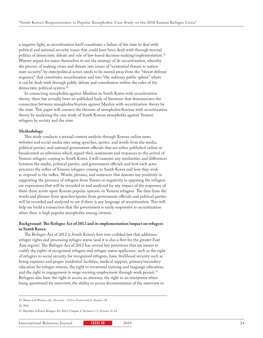a negative light, as securitization itself constitutes a failure of the state to deal with political and national security issues that could have been dealt with through normal politics of democratic debate and rule of law-based decision-making/implementation.<sup>25</sup> Waever argues for states themselves to use the strategy of de-securitization, whereby the process of making crises and threats into issues of "existential threats to nationstate security" by state/political actors needs to be moved away from the "threat-defense sequence" that constitutes securitization and into "the ordinary public sphere" where it can be dealt with through public debate and consultation within the rules of the democratic political system.<sup>26</sup>

In connecting xenophobia against Muslims in South Korea with securitization theory, there has actually been no published body of literature that demonstrates the connection between xenophobia/fearism against Muslim with securitization theory by the state. This paper will connect the theories of xenophobia/fearism with securitization theory by analyzing the case study of South Korean xenophobia against Yemeni refugees by society and the state.

#### **Methodology**

This study conducts a textual content analysis through Korean online news websites and social media sites using speeches, quotes, and words from the media, political parties, and national government officials that are either published online or broadcasted on television which regard their sentiments and responses to the arrival of Yemeni refugees coming to South Korea. I will examine any similarities and differences between the media, political parties, and government officials and how each actor perceives the influx of Yemeni refugees coming to South Korea and how they wish to respond to the influx. Words, phrases, and sentences that denotes any positivity in supporting the presence of refugees from Yemen or negativity in opposing the refugees are expressions that will be recorded in and analyzed for any impact of the responses of these three actors upon Korean popular opinion on Yemeni refugees. The data from the words and phrases from speeches/quotes from government officials and political parties will be recorded and analyzed to see if there is any language of securitization. This will help me build a connection that the government is easily responsive to securitization when there is high popular xenophobia among citizens.

#### **Background: The Refugee Act of 2012 and its implementation/impact on refugees in South Korea**

The Refugee Act of 2012 is South Korea's first ever codified law that addresses refugee rights and processing refugee status (and it is also a first for the greater East Asia region). The Refugee Act of 2012 has several key provisions that are meant to codify the rights of recognized refugees and refugee status applicants, such as the right of refugees to social security for recognized refugees, basic livelihood security such as living expenses and proper residential facilities, medical support, primary/secondary education for refugee minors, the right to vocational training and language education, and the right to engagement in wage-earning employment through work permit.<sup>27</sup> Refugees also have the right to access an attorney, the right to an interpreter when being questioned for interview, the ability to access documentation of the interview in

25. Buzan and Weaver, eds., Security – *A New Framework for Analysis*, 29.

26. Ibid.

27. Republic of Korea Refugee Act 2012, Chapter 4, Sections 1-3, Articles 31-44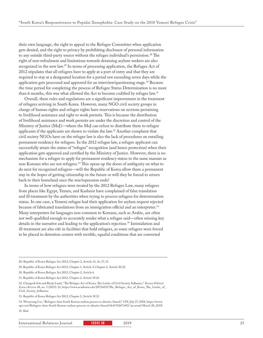their own language, the right to appeal to the Refugee Committee when application gets denied, and the right to privacy by prohibiting disclosure of personal information to any outside third-party source without the refugee individual's permission.<sup>28</sup> The right of non-refoulment and limitations towards detaining asylum-seekers are also recognized in the new law.29 In terms of processing application, the Refugee Act of 2012 stipulates that all refugees have to apply at a port of entry and that they are required to stay at a designated location for a period not exceeding seven days while the application gets processed and approved for an interview/questioning stage.<sup>30</sup> Because the time period for completing the process of Refugee Status Determination is no more than 6 months, this was what allowed the Act to become codified by refugee law.<sup>31</sup>

Overall, these rules and regulations are a significant improvement in the treatment of refugees arriving in South Korea. However, many NGO civil society groups in charge of human rights and refugee rights have reservations on sections pertaining to livelihood assistance and right to work permits. This is because the distribution of livelihood assistance and work permits are under the discretion and control of the Ministry of Justice (MoJ)—where the MoJ can refuse to distribute them to refugee applicants if the applicants are shown to violate the law.32 Another complaint that civil society NGOs have on the refugee law is also the lack of procedures on entailing permanent residency for refugees. In the 2012 refugee law, a refugee applicant can successfully attain the status of "refugee" recognition (and hence protection) when their application gets approved and certified by the Ministry of Justice. However, there is no mechanism for a refugee to apply for permanent residency status in the same manner as non-Koreans who are not refugees.33 This opens up the doors of ambiguity on what to do next for recognized refugees—will the Republic of Korea allow them a permanent stay in the hopes of getting citizenship in the future or will they be forced to return back to their homeland once the war/repression ends?

In terms of how refugees were treated by the 2012 Refugee Law, many refugees from places like Egypt, Yemen, and Kashmir have complained of false translation and ill-treatment by the authorities when trying to process refugees for determination status. In one case, a Yemeni refugee had their application for asylum request rejected because of fabricated translations from an immigration official and an interpreter.34 Many interpreters for languages non-common to Koreans, such as Arabic, are often not well-qualified enough to accurately render what a refugee said—often missing key details in the narrative and leading to the application's rejection.<sup>35</sup> Intimidation and ill-treatment are also rife in facilities that hold refugees, as some refugees were forced to be placed in detention centers with terrible, squalid conditions that are converted

<sup>28.</sup> Republic of Korea Refugee Act 2012, Chapter 2, Article 14, 16, 17, 21

<sup>29.</sup> Republic of Korea Refugee Act 2012, Chapter 1, Article 3; Chapter 2, Article 20 (2)

<sup>30.</sup> Republic of Korea Refugee Act 2012, Chapter 2, Article 6

<sup>31.</sup> Republic of Korea Refugee Act 2012, Chapter 2, Article 18 (4)

<sup>32.</sup> Changrok Soh and Breda Lund, "The Refugee Act of Korea: The Limits of Civil Society Influence." *Korean Political Science Review* 48, no. 3 (2013): 21, https://www.academia.edu/28724225/The\_Refugee\_Act\_of\_Korea\_The\_Limits\_of\_ Civil\_Society\_Influence

<sup>33.</sup> Republic of Korea Refugee Act 2012, Chapter 2, Article 18 (1)

<sup>34.</sup> Wooyoung Lee, "Refugees slam South Korean asylum process as abusive, biased," *UPI*, July 27, 2018, https://www. upi.com/Refugees-slam-South-Korean-asylum-process-as-abusive-biased/4641532671492/ (accessed March 28, 2019) 35. Ibid.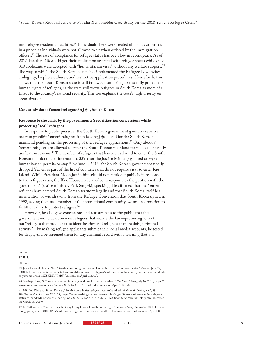into refugee residential facilities.<sup>36</sup> Individuals there were treated almost as criminals in a prison as individuals were not allowed to sit when ordered by the immigration officers.37 The rate of acceptance for refugee status has been low in recent years. As of 2017, less than 1% would get their application accepted with refugee status while only 318 applicants were accepted with "humanitarian visas" without any welfare support.38 The way in which the South Korean state has implemented the Refugee Law invites ambiguity, loopholes, abuses, and restrictive application procedures. Henceforth, this shows that the South Korean state is still far away from being able to fully protect the human rights of refugees, as the state still views refugees in South Korea as more of a threat to the country's national security. This too explains the state's high priority on securitization.

#### **Case study data: Yemeni refugees in Jeju, South Korea**

#### **Response to the crisis by the government: Securitization concessions while protecting "real" refugees**

In response to public pressure, the South Korean government gave an executive order to prohibit Yemeni refugees from leaving Jeju Island for the South Korean mainland pending on the processing of their refugee applications.<sup>39</sup> Only about 7 Yemeni refugees are allowed to enter the South Korean mainland for medical or family unification reasons.40 The number of refugees that has been allowed to enter the South Korean mainland later increased to 339 after the Justice Ministry granted one-year humanitarian permits to stay.<sup>41</sup> By June 1, 2018, the South Korean government finally dropped Yemen as part of the list of countries that do not require visas to enter Jeju Island. While President Moon Jae-in himself did not speak out publicly in response to the refugee crisis, the Blue House made a video in response to the petition with the government's justice minister, Park Sang-ki, speaking. He affirmed that the Yemeni refugees have entered South Korean territory legally and that South Korea itself has no intention of withdrawing from the Refugee Convention that South Korea signed in 1992, saying that "as a member of the international community, we are in a position to fulfill our duty to protect refugees."<sup>42</sup>

However, he also gave concessions and reassurances to the public that the government will crack down on refugees that violate the law—promising to root out "refugees that produce false identification and refugees that are doing criminal activity"—by making refugee applicants submit their social media accounts, be tested for drugs, and be screened them for any criminal record with a warning that any

39. Joyce Lee and Haejin Choi, "South Korea to tighten asylum laws as hundreds of Yemenis arrive", *Reuters*, June 29, 2018, https://www.reuters.com/article/us-southkorea-yemen-refugees/south-korea-to-tighten-asylum-laws-as-hundredsof-yemenis-arrive-idUSKBN1JP0RY (accessed on April 1, 2019).

40. Yonhap News, "7 Yemeni asylum seekers on Jeju allowed to enter mainland", *The Korea Times*, July 16, 2018, https:// www.koreatimes.co.kr/www/nation/2018/07/281\_252317.html (accessed on April 1, 2019).

41. Min Joo Kim and Simon Denyer, "South Korea denies refugee status to hundreds of Yemenis fleeing war", *The Washington Post*, October 17, 2018, https://www.washingtonpost.com/world/asia\_pacific/south-korea-denies-refugeestatus-to-hundreds-of-yemenis-fleeing-war/2018/10/17/5d554d1e-d207-11e8-8c22-fa2ef74bd6d6\_story.html (accessed on March 15, 2019).

42. S. Nathan Park, "South Korea Is Going Crazy Over a Handful of Refugees", *Foreign Policy,* August 6, 2018, https:// foreignpolicy.com/2018/08/06/south-korea-is-going-crazy-over-a-handful-of-refugees/ (accessed October 15, 2018).

International Relations Journal **ISSUE 38 2019** 2019

<sup>36.</sup> Ibid.

<sup>37.</sup> Ibid.

<sup>38.</sup> Ibid.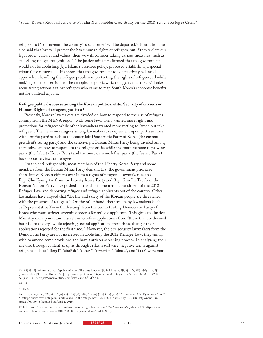refugee that "contravenes the country's social order" will be deported.<sup>43</sup> In addition, he also said that "we will protect the basic human rights of refugees, but if they violate our legal order, culture, and values, then we will consider taking various measures, such as cancelling refugee recognition."44 The justice minister affirmed that the government would not be abolishing Jeju Island's visa-free policy, proposed establishing a special tribunal for refugees.45 This shows that the government took a relatively balanced approach in handling the refugee problem in protecting the rights of refugees, all while making some concessions to the xenophobic public which suggests that they will take securitizing actions against refugees who came to reap South Korea's economic benefits not for political asylum.

#### **Refugee public discourse among the Korean political elite: Security of citizens or Human Rights of refugees goes first?**

Presently, Korean lawmakers are divided on how to respond to the rise of refugees coming from the MENA region, with some lawmakers wanted more rights and protections for refugees while other lawmakers wanted more vetting to "weed out fake refugees". The views on refugees among lawmakers are dependent upon partisan lines, with centrist parties such as the center-left Democratic Party of Korea (the current president's ruling party) and the center-right Bareun Mirae Party being divided among themselves on how to respond to the refugee crisis; while the more extreme right-wing party (the Liberty Korea Party) and the more extreme leftist party (the Justice Party) have opposite views on refugees.

On the anti-refugee side, most members of the Liberty Korea Party and some members from the Bareun Mirae Party demand that the government prioritize the safety of Korean citizens over human rights of refugees. Lawmakers such as Rep. Cho Kyung-tae from the Liberty Korea Party and Rep. Kim Jin-Tae from the Korean Nation Party have pushed for the abolishment and amendment of the 2012 Refugee Law and deporting refugee and refugee applicants out of the country. Other lawmakers have argued that "the life and safety of the Korean people are threatened" with the presence of refugees.<sup>46</sup> On the other hand, there are many lawmakers (such as Representative Kwon Chil-seung) from the centrist ruling Democratic Party of Korea who want stricter screening process for refugee applicants. This gives the Justice Ministry more power and discretion to refuse applications from "those that are deemed harmful to society" while rejecting second applications from those that got their applications rejected for the first time.<sup>47</sup> However, the pro-security lawmakers from the Democratic Party are not interested in abolishing the 2012 Refugee Law, they simply wish to amend some provisions and have a stricter screening process. In analyzing their rhetoric through content analysis through Atlas.ti software, negative terms against refugees such as "illegal", "abolish", "safety", "terrorists", "abuse", and "fake" were more

International Relations Journal **ISSUE 38** 2019 27

<sup>43.</sup> 대한민국청와대 (translated: Republic of Korea The Blue House), "[청와대Live] 청원답변 '난민법 관련' 청원" (translated as: [The Blue House Live] Reply to the petition on "Regulation of Refugee Law"), YouTube video, 22:16, August 1, 2018, https://www.youtube.com/watch?v=r-6S79tXn-8

<sup>44.</sup> Ibid.

<sup>45.</sup> Ibid.

<sup>46.</sup> Park Jeong-yang, "조경태 "난민보다 국민안전 우선"…난민법 폐지 법안 발의" (translated: Cho Kyung-tae: "Public Safety priorities over Refugees…a bill to abolish the refugee law"), *News One Korea*, July 12, 2018, http://news1.kr/ articles/?3370475 (accessed on April 1, 2019).

<sup>47.</sup> Jo He-rim, "Lawmakers divided on direction of refugee law revision," *The Korea Herald*, July 2, 2018, http://www. koreaherald.com/view.php?ud=20180702000835 (accessed on April 1, 2019).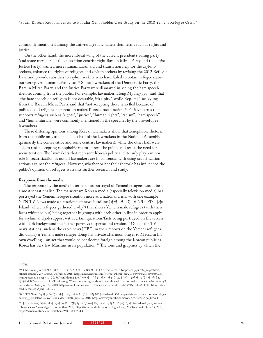commonly mentioned among the anti-refugee lawmakers than terms such as rights and justice.

On the other hand, the more liberal wing of the current president's ruling party (and some members of the opposition centrist-right Bareun Mirae Party and the leftist Justice Party) wanted more humanitarian aid and translation help for the asylumseekers, enhance the rights of refugees and asylum seekers by revising the 2012 Refugee Law, and provide subsidies to asylum seekers who have failed to obtain refugee status but were given humanitarian visas.<sup>48</sup> Some lawmakers of the Democratic Party, the Bareun Mirae Party, and the Justice Party were dismayed in seeing the hate speech rhetoric coming from the public. For example, lawmaker, Hong Myung-pyo, said that "the hate speech on refugees is not desirable, it's a pity", while Rep. Ha Tae-kyung from the Bareun Mirae Party said that "not accepting those who fled because of political and religious persecution makes Korea a racist nation.<sup>49</sup> Positive terms that supports refugees such as "rights", "justice", "human rights", "racism", "hate speech", and "humanitarian" were commonly mentioned in the speeches by the pro-refugee lawmakers.

These differing opinions among Korean lawmakers show that xenophobic rhetoric from the public only affected about half of the lawmakers in the National Assembly (primarily the conservative and some centrist lawmakers), while the other half were able to resist accepting xenophobic rhetoric from the public and resist the need for securitization. The lawmakers that represent Korea's political elite only play a minor role in securitization as not all lawmakers are in consensus with using securitization actions against the refugees. However, whether or not their rhetoric has influenced the public's opinion on refugees warrants further research and study.

#### **Response from the media**

The response by the media in terms of its portrayal of Yemeni refugees was at best almost sensationalist. The mainstream Korean media (especially television media) has portrayed the Yemeni refugee situation more as a national crisis, with one example YTN TV News made a sensationalist news headline (난민 모여든 제주도…왜? – Jeju Island, where refugees gathered…why?) that shows Yemeni male refugees (with their faces whitened out) being together in groups with each other in line in order to apply for asylum and job support with certain questions/facts being portrayed on the screen with dark background music that portrays suspense and tension.<sup>50</sup> One of the TV news stations, such as the cable news JTBC, in their reports on the Yemeni refugees did display a Yemeni male refugee doing his private afternoon prayer to Mecca in his own dwelling—an act that would be considered foreign among the Korean public as Korea has very few Muslims in its population.<sup>51</sup> The tone and graphics by which the

50. YTN News, "올해만 560명…예멘 난민, 제주도 입국 베경은?" (translated: 560 people this year alone…Yemen refugee entering Jeju Island ?), YouTube video, 10:48, June 19, 2018, https://www.youtube.com/watch?v=GmLX7QTsWe4

51. JTBC News, "제주, 예멘 난민 두고 '엇갈린 시선'…난민법 폐지 청원도 20만명 넘어" (translated: Jeju, Yemen refugees leave 'crossed gaze'…more than 200,000 petition for abolition of Refugee Law), YouTube, 4:48, June 19, 2018, https://www.youtube.com/watch?v=eWOCVhb56EU

<sup>48.</sup> Ibid.

<sup>49.</sup> Choe Yeon-jin, "'뜨거운 감자' 제주 난민문제, 공식입장 못내는" (translated: 'Hot potato' Jeju refugee problem, official stances), *The Chosun Ilbo*, July 3, 2018, http://news.chosun.com/site/data/html\_dir/2018/07/03/2018070300331. html (accessed on April 1, 2019); Jeon Hyung-joo, "하태경 '예멘 진짜 난민은 포용해야…한국을 인종차별 국가로 만들지마라'" (translated: Ha Tae-kyeong: 'Yemen real refugees should be embraced…do not make Korea a racist country'), *The Kukmin Daily,* June 27, 2018, http://news.kmib.co.kr/article/view.asp?arcid=0012475991&code=61111111&sid1=hea/ feed, (accessed April 1, 2019).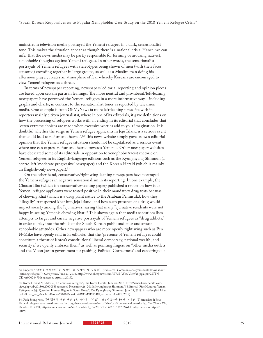mainstream television media portrayed the Yemeni refugees in a dark, sensationalist tone. This makes the situation appear as though there is a national crisis. Hence, we can infer that the news media may be partly responsible for forming or arousing nativist, xenophobic thoughts against Yemeni refugees. In other words, the sensationalist portrayals of Yemeni refugees with stereotypes being shown of men (with their faces censored) crowding together in large groups, as well as a Muslim man doing his afternoon prayer, creates an atmosphere of fear whereby Koreans are encouraged to view Yemeni refugees as a threat.

In terms of newspaper reporting, newspapers' editorial reporting and opinion pieces are based upon certain partisan leanings. The more neutral and pro-liberal/left-leaning newspapers have portrayed the Yemeni refugees in a more informative way—including graphs and charts, in contrast to the sensationalist tones as reported by television media. One example is from OhMyNews (a more left-leaning news site with its reporters mainly citizen journalists), where in one of its editorials, it gave definitions on how the processing of refugees works with an ending in its editorial that concludes that "often extreme choices are made when excessive worries add to your imagination. It is doubtful whether the surge in Yemen refugee applicants in Jeju Island is a serious event that could lead to racism and hatred".52 This news website simply gave its own editorial opinion that the Yemen refugee situation should not be capitalized as a serious event where one can express racism and hatred towards Yemenis. Other newspaper websites have dedicated some of its editorials in opposition to xenophobic/racist rhetoric on Yemeni refugees in its English-language editions such as the Kyunghyang Shinmun (a centre-left 'moderate progressive' newspaper) and the Korean Herald (which is mainly an English-only newspaper).53

On the other hand, conservative/right wing-leaning newspapers have portrayed the Yemeni refugees in negative sensationalism in its reporting. In one example, the Chosun Ilbo (which is a conservative-leaning paper) published a report on how four Yemeni refugee applicants were tested positive in their mandatory drug tests because of chewing khat (which is a drug plant native to the Arabian Peninsula), how they "illegally" transported khat into Jeju Island, and how such presence of a drug would impact society among the Jeju natives, saying that many Jeju native residents were not happy in seeing Yemenis chewing khat.<sup>54</sup> This shows again that media sensationalism attempts to target and curate negative portrayals of Yemeni refugees as "drug addicts," in order to play into the minds of the South Korean public audience and arouse xenophobic attitudes. Other newspapers who are more openly right-wing such as Pen-N-Mike have openly said in its editorial that the "presence of Yemeni refugees could constitute a threat of Korea's constitutional liberal democracy, national wealth, and security if we openly embrace them" as well as pointing fingers on "other media outlets and the Moon Jae-in government for pushing 'Political Correctness' and censoring out

<sup>52.</sup> Impeter, ""난민을 반대한다"는 당신이 꼭 알아야 할 상식들" (translated: Common sense you should know about "refusing refugees"), *OhMyNews*, June 21, 2018, http://www.ohmynews.com/NWS\_Web/View/at\_pg.aspx?CNTN\_ CD=A0002447306 (accessed April 1, 2019).

<sup>53.</sup> Korea Herald, "[Editorial] Dilemma on refugees", The Korea Herald, June 27, 2018, http://www.koreaherald.com/ view.php?ud=20180627000565 (accessed November 26, 2018); Kyunghyang Shinmun, "[Editorial] Five Hundred Yemeni Refugees in Jeju Question Human Rights in South Korea", The Kyunghyang Shinmun, June 19, 2018, http://english.khan. co.kr/khan\_art\_view.html?code=790101&artid=201806191953487, (accessed April 1, 2019).

<sup>54.</sup> Park Seong-woo, "[단독]제주 예멘 난민 4名 마약류 '카트' 양성반응…국내에서 복용한 듯" (translated: Four Yemeni refugees have tested positive for drugs because of possession of 'khat', as if consume domestically), *The Chosun Ilbo,* October 18, 2018, http://news.chosun.com/site/data/html\_dir/2018/10/17/2018101702761.html (accessed on April 1, 2019).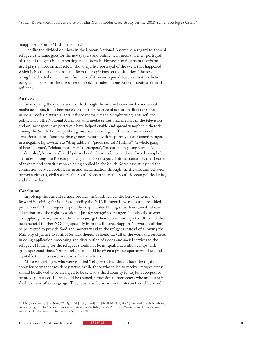'inappropriate' anti-Muslim rhetoric.<sup>55</sup>

Just like the divided opinions in the Korean National Assembly in regard to Yemeni refugees, the same goes for the newspapers and online news media in their portrayals of Yemeni refugees in its reporting and editorials. However, mainstream television itself plays a more critical role in showing a live portrayal of the event that happened, which helps the audience see and form their opinions on the situation. The tone being broadcasted on television (in many of its news reports) have a sensationalistic tone, which explains the rise of xenophobic attitudes among Koreans against Yemeni refugees.

#### **Analysis**

In analyzing the quotes and words through the internet news media and social media accounts, it has become clear that the presence of sensationalist fake news in social media platforms, anti-refugee rhetoric made by right-wing, anti-refugee politicians in the National Assembly, and media sensational rhetoric in the television and online/paper news portrayals have helped enable and spread xenophobic rhetoric among the South Korean public against Yemeni refugees. The dissemination of sensationalist real (and imaginary) news reports with its portrayals of Yemeni refugees in a negative light—such as "drug addicts", "pious radical Muslims", "a whole gang of bearded men", "violent murderers/kidnappers", "predators on young women", "pedophiles", "criminals", and "job-seekers"—have enforced and reinforced xenophobic attitudes among the Korean public against the refugees. This demonstrates the theories of fearism and securitization as being applied in the South Korea case study and the connection between both fearism and securitization through the rhetoric and behavior between citizens, civil society, the South Korean state, the South Korean political elite, and the media.

#### **Conclusion**

In solving the current refugee problem in South Korea, the best way to move forward in solving the issue is to modify the 2012 Refugee Law and put more addedprotection for the refugees, especially on guaranteed living subsistence, medical care, education, and the right to work not just for recognized refugees but also those who are applying for asylum and those who just got their application rejected. It would also be beneficial if other NGOs (especially from the Refugee Support Network coalition) be permitted to provide food and monetary aid to the refugees instead of allowing the Ministry of Justice to control (or lack thereof I should say) all of the work and resources in doing application processing and distribution of goods and social services to the refugees. Housing for the refugees should not be in squalid detention camps with grotesque conditions. Yemeni refugees should be given a proper apartment block and equitable (i.e. necessary) resources for them to live.

Moreover, refugees who were granted "refugee status" should have the right to apply for permanent residency status, while those who failed to receive "refugee status" should be allowed to be arranged to be sent to a third country for asylum acceptance before deportation. There should be trained, professional interpreters who are fluent in Arabic or any other language. They must also be sworn in to interpret word-by-word

55. Cho Joon-gyeong, "[PenN수첩/조준경] '예멘 난민'...유럽의 실수 반복하지 말아야" (translated: [PenN Notebook] 'Yemeni refugee'…Don't repeat European mistakes), *Pen-N-Mike,* June 25, 2018, http://www.pennmike.com/news/ articleView.html?idxno=7079 (accessed on April 1, 2019).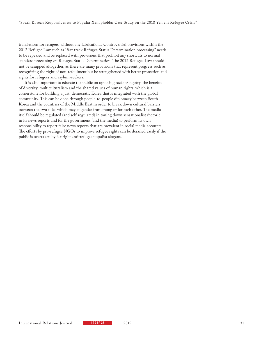translations for refugees without any fabrications. Controversial provisions within the 2012 Refugee Law such as "fast-track Refugee Status Determination processing" needs to be repealed and be replaced with provisions that prohibit any shortcuts to normal standard processing on Refugee Status Determination. The 2012 Refugee Law should not be scrapped altogether, as there are many provisions that represent progress such as recognizing the right of non-refoulment but be strengthened with better protection and rights for refugees and asylum-seekers.

It is also important to educate the public on opposing racism/bigotry, the benefits of diversity, multiculturalism and the shared values of human rights, which is a cornerstone for building a just, democratic Korea that is integrated with the global community. This can be done through people-to-people diplomacy between South Korea and the countries of the Middle East in order to break down cultural barriers between the two sides which may engender fear among or for each other. The media itself should be regulated (and self-regulated) in toning down sensationalist rhetoric in its news reports and for the government (and the media) to perform its own responsibility to report false news reports that are prevalent in social media accounts. The efforts by pro-refugee NGOs to improve refugee rights can be derailed easily if the public is overtaken by far-right anti-refugee populist slogans.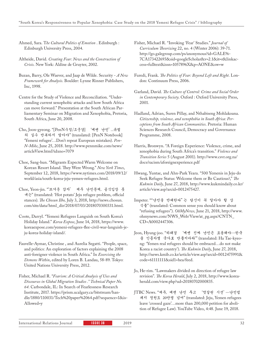Ahmed, Sara. T*he Cultural Politics of Emotion* . Edinburgh : Edinburgh University Press, 2004.

Altheide, David. *Creating Fear: News and the Construction of Crisis*. New York: Aldine de Gruyter, 2002.

- Buzan, Barry, Ole Waever, and Jaap de Wilde. Security *A New Framework for Analysis*. Boulder: Lynne Rinner Publishers, Inc, 1998.
- Centre for the Study of Violence and Reconciliation. "Understanding current xenophobic attacks and how South Africa can move forward." Presentation at the South African Parliamentary Seminar on Migration and Xenophobia, Pretoria, South Africa, June 20, 2008.
- Cho, Joon-gyeong. "[PenN수첩/조준경] '예멘 난민'...유럽 의 실수 반복하지 말아야" (translated: [PenN Notebook] 'Yemeni refugee'…Don't repeat European mistakes). *Pen-N-Mike*, June 25, 2018. http://www.pennmike.com/news/ articleView.html?idxno=7079
- Choe, Sang-hun. "Migrants Expected Warm Welcome on Korean Resort Island. They Were Wrong." *New York Times*, September 12, 2018, https://www.nytimes.com/2018/09/12/ world/asia/south-korea-jeju-yemen-refugees.html.
- Choe, Yeon-jin. "'뜨거운 감자' 제주 난민문제, 공식입장 못 내는" (translated: 'Hot potato' Jeju refugee problem, official stances). *The Chosun Ilbo,* July 3, 2018, http://news.chosun. com/site/data/html\_dir/2018/07/03/2018070300331.html.
- Coote, Darryl. "Yemeni Refugees Languish on South Korea's Holiday Island." *Korea Expose*, June 14, 2018, https://www. koreaexpose.com/yemeni-refugees-flee-civil-war-languish-jeju-korea-holiday-island/.
- Fauvelle-Aymar, Christine , and Aurelia Segatti. "People, space, and politics: An exploration of factors explaining the 2008 anti-foreigner violence in South Africa." In *Exorcising the Demons Within*, edited by Loren B. Landau, 58-89. Tokyo: United Nations University Press, 2012.
- Fisher, Michael R. "*Fearism: A Critical Analysis of Uses and Discourses in Global Migration Studies ." Technical Paper No. 64*. Carbondale, IL: In Search of Fearlessness Research Institute, 2017. https://prism.ucalgary.ca/bitstream/handle/1880/110031/Tech%20paper%2064.pdf?sequence=1&is-Allowed=y
- Fisher, Michael R. "Invoking 'Fear' Studies." *Journal of Curriculum Theorizing* 22, no. 4 (Winter 2006): 39-71. http://go.galegroup.com/ps/anonymous?id=GALE%- 7CA173422693&sid=googleScholar&v=2.1&it=r&linkaccess=fulltext&issn=1057896X&p=AONE&sw=w
- Furedi, Frank. *The Politics of Fear: Beyond Left and Right*. London: Continuum Press, 2006.
- Garland, David. *The Culture of Control: Crime and Social Order in Contemporary Society*. Oxford : Oxford University Press, 2001.
- Hadland, Adrian, Suren Pillay, and Nthabiseng Mohlakoana. *Citizenship, violence, and xenophobia in South Africa: Perceptions from South African Communities*. Pretoria: Human Sciences Research Council, Democracy and Governance Programme, 2008.
- Harris, Bronwyn. "A Foreign Experience: Violence, crime, and xenophobia during South Africa's transition." *Violence and Transition Series* 5 (August 2001). http://www.csvr.org.za/ docs/racism/aforeignexperience.pdf
- Hwang, Yuntae, and Ahn-Park Yeara. "500 Yemenis in Jeju-do Seek Refugee Status: Welcome them or Be Cautious?," *The Kukmin Daily,* June 27, 2018, http://www.kukmindaily.co.kr/ article/view.asp?arcid=0012475427.
- Impeter. ""난민을 반대한다"는 당신이 꼭 알아야 할 상 식들" (translated: Common sense you should know about "refusing refugees"). *OhMyNews,* June 21, 2018, http://www. ohmynews.com/NWS\_Web/View/at\_pg.aspx?CNTN\_ CD=A0002447306.
- Jeon, Hyung-joo. "하태경 '예멘 진짜 난민은 포용해야…한국 을 인종차별 국가로 만들지마라'" (translated: Ha Tae-kyeong: 'Yemen real refugees should be embraced…do not make Korea a racist country'). *The Kukmin Daily*, June 27, 2018, http://news.kmib.co.kr/article/view.asp?arcid=0012475991& code=61111111&sid1=hea/feed.
- Jo, He-rim. "Lawmakers divided on direction of refugee law revision". *The Korea Herald*, July 2, 2018, http://www.koreaherald.com/view.php?ud=20180702000835.
- JTBC News. "제주, 예멘 난민 두고 '엇갈린 시선'…난민법 폐지 청원도 20만명 넘어" (translated: Jeju, Yemen refugees leave 'crossed gaze'…more than 200,000 petition for abolition of Refugee Law). YouTube Video, 4:48. June 19, 2018.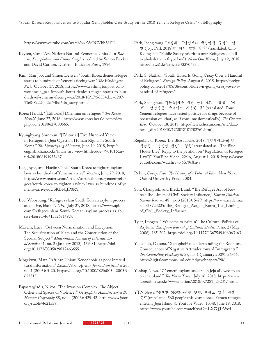https://www.youtube.com/watch?v=eWOCVhb56EU.

- Kaysen, Carl. "Are Nations Natural Economic Units ." In *Racism, Xenophobia, and Ethnic Conflict* , edited by Simon Bekker and David Carlton. Durban : Indicator Press, 1996.
- Kim, Min Joo, and Simon Denyer. "South Korea denies refugee status to hundreds of Yemenis fleeing war." *The Washington Post,* October 17, 2018, https://www.washingtonpost.com/ world/asia\_pacifc/south-korea-denies-refugee-status-to-hundreds-of-yemenis-fleeing-war/2018/10/17/5d554d1e-d207- 11e8-8c22-fa2ef74bd6d6\_story.html.

Korea Herald. "[Editorial] Dilemma on refugees." *The Korea Herald*, June 27, 2018, http://www.koreaherald.com/view. php?ud=20180627000565.

- Kyunghyang Shinmun. "[Editorial] Five Hundred Yemeni Refugees in Jeju Question Human Rights in South Korea." *The Kyunghyang Shinmun*, June 19, 2018, http:// english.khan.co.kr/khan\_art\_view.html?code=790101&artid=201806191953487.
- Lee, Joyce, and Haejin Choi. "South Korea to tighten asylum laws as hundreds of Yemenis arrive". *Reuters*, June 29, 2018, https://www.reuters.com/article/us-southkorea-yemen-refugees/south-korea-to-tighten-asylum-laws-as-hundreds-of-yemenis-arrive-idUSKBN1JP0RY.
- Lee, Wooyoung. "Refugees slam South Korean asylum process as abusive, biased". *UPI*, July 27, 2018, https://www.upi. com/Refugees-slam-South-Korean-asylum-process-as-abusive-biased/4641532671492/.

Mavelli, Luca. "Between Normalisation and Exception: The Securitisation of Islam and the Construction of the Secular Subject." *Millennium: Journal of International Studies* 41, no. 2 (January 2013): 159-81. https://doi. org/10.1177/0305829812463655

Mogekwu, Matt. "African Union: Xenophobia as poor intercultural information." *Ecquid Novi: African Journalism Studies* 26, no. 1 (2005): 5-20. https://doi.org/10.1080/02560054.2005.9 653315

Papastergiadis, Nikos. "The Invasion Complex: The Abject Other and Spaces of Violence ." *Geografiska Annaler. Series B, Human Geography* 88, no. 4 (2006): 429-42. http://www.jstor. org/stable/4621538.

- Park, Jeong-yang. "조경태 "난민보다 국민안전 우선"…난 민 (J.-y. Park 2018)법 폐지 법안 발의" (translated: Cho Kyung-tae: "Public Safety priorities over Refugees…a bill to abolish the refugee law"). *News One Korea*, July 12, 2018. http://news1.kr/articles/?3370475 .
- Park, S. Nathan. "South Korea Is Going Crazy Over a Handful of Refugees". *Foreign Policy*, August 6, 2018. https://foreignpolicy.com/2018/08/06/south-korea-is-going-crazy-over-ahandful-of-refugees/.
- Park, Seong-woo. "[단독]제주 예멘 난민 4名 마약류 '카 트' 양성반응…국내에서 복용한 듯" (translated: Four Yemeni refugees have tested positive for drugs because of possession of 'khat', as if consume domestically). *The Chosun Ilbo,* October 18, 2018, http://news.chosun.com/site/data/ html\_dir/2018/10/17/2018101702761.html.
- Republic of Korea, The Blue House. 2018. "[청와대Live] 청 원답변 '난민법 관련' 청원" (translated as: [The Blue House Live] Reply to the petition on "Regulation of Refugee Law")". YouTube Video, 22:16, August 1, 2018. https://www. youtube.com/watch?v=r-6S79tXn-8
- Robin, Corey. *Fear: The History of a Political Idea* . New York: Oxford University Press, 2004.
- Soh, Changrok, and Breda Lund. "The Refugee Act of Korea: The Limits of Civil Society Influence," *Korean Political Science Review* 48, no. 3 (2013): 5-29. https://www.academia. edu/28724225/The\_Refugee\_Act\_of\_Korea\_The\_Limits\_ of\_Civil\_Society\_Influence
- Tyler, Imogen. "'Welcome to Britain': The Cultural Politics of Asylum." *European Journal of Cultural Studies* 9, no. 2 (May 2006): 185-202. https://doi.org/10.1177/1367549406063163
- Yakushko, Oksana. "Xenophobia: Understanding the Roots and Consequences of Negative Attitudes toward Immigrants." *The Counseling Psychologist* 37, no. 1 (January 2009): 36-66. http://digitalcommons.unl.edu/edpsychpapers/90/
- Yonhap News. "7 Yemeni asylum seekers on Jeju allowed to enter mainland," *The Korea Times,* July 16, 2018. https://www. koreatimes.co.kr/www/nation/2018/07/281\_252317.html.
- YTN News. "올해만 560명…예멘 난민, 제주도 입국 베경 은?" (translated: 560 people this year alone…Yemen refugee entering Jeju Island ?). Youtube Video, 10:48. June 19, 2018. https://www.youtube.com/watch?v=GmLX7QTsWe4.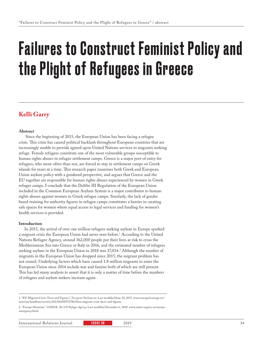# Failures to Construct Feminist Policy and the Plight of Refugees in Greece

### **Kelli Garry**

#### **Abstract**

 Since the beginning of 2015, the European Union has been facing a refugee crisis. This crisis has caused political backlash throughout European countries that are increasingly unable to provide agreed upon United Nations services to migrants seeking refuge. Female refugees constitute one of the most vulnerable groups susceptible to human rights abuses in refugee settlement camps. Greece is a major port of entry for refugees, who more often than not, are forced to stay in settlement camps on Greek islands for years at a time. This research paper examines both Greek and European Union asylum policy with a gendered perspective, and argues that Greece and the EU together are responsible for human rights abuses experienced by women in Greek refugee camps. I conclude that the Dublin III Regulation of the European Union included in the Common European Asylum System is a major contributor to human rights abuses against women in Greek refugee camps. Similarly, the lack of gender based training for authority figures in refugee camps constitutes a barrier in creating safe spaces for women where equal access to legal services and funding for women's health services is provided.

#### **Introduction**

In 2015, the arrival of over one million refugees seeking asylum in Europe sparked a migrant crisis the European Union had never seen before.1 According to the United Nations Refugee Agency, around 362,000 people put their lives at risk to cross the Mediterranean Sea into Greece or Italy in 2016, and the estimated number of refugees seeking asylum in the European Union in 2018 was 37,034.2 Although the number of migrants in the European Union has dropped since 2015, the migrant problem has not ceased. Underlying factors which have caused 1.8 million migrants to enter the European Union since 2014 include war and famine both of which are still present. This has led many analysts to assert that it is only a matter of time before the numbers of refugees and asylum seekers increase again.

<sup>1. &</sup>quot;EU Migrant Crisis: Facts and Figures," *European Parliament*, Last modified June 30, 2017, www.europarl.europa.eu/ news/en/headlines/society/20170629STO78630/eu-migrant-crisis-facts-and-figures.

<sup>2. &</sup>quot;Europe Situation," *UNHCR, The UN Refugee Agency*, Last modified December 6, 2018. www.unhcr.org/en-us/europeemergency.html.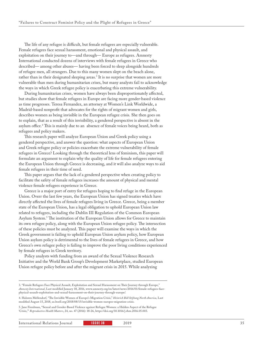The life of any refugee is difficult, but female refugees are especially vulnerable. Female refugees face sexual harassment, emotional and physical assault, and exploitation on their journey to—and through— Europe as refugees. Amnesty International conducted dozens of interviews with female refugees in Greece who described— among other abuses— having been forced to sleep alongside hundreds of refugee men, all strangers. Due to this many women slept on the beach alone, rather than in their designated sleeping areas.<sup>3</sup> It is no surprise that women are more vulnerable than men during humanitarian crises, but many analysts fail to acknowledge the ways in which Greek refugee policy is exacerbating this extreme vulnerability.

During humanitarian crises, women have always been disproportionately affected, but studies show that female refugees in Europe are facing more gender-based violence as time progresses. Teresa Fernandez, an attorney at Women's Link Worldwide, a Madrid-based nonprofit that advocates for the rights of migrant women and girls, describes women as being invisible in the European refugee crisis. She then goes on to explain, that as a result of this invisibility, a gendered perspective is absent in the asylum office.4 This is mainly due to an absence of female voices being heard, both as refugees and policy makers.

This research paper will analyze European Union and Greek policy using a gendered perspective, and answer the question: what aspects of European Union and Greek refugee policy or policies exacerbate the extreme vulnerability of female refugees in Greece? Looking through the theoretical lens of feminism, this paper will formulate an argument to explain why the quality of life for female refugees entering the European Union through Greece is decreasing, and it will also analyze ways to aid female refugees in their time of need.

This paper argues that the lack of a gendered perspective when creating policy to facilitate the safety of female refugees increases the amount of physical and mental violence female refugees experience in Greece.

Greece is a major port of entry for refugees hoping to find refuge in the European Union. Overr the last few years, the European Union has signed treaties which have directly affected the lives of female refugees living in Greece. Greece, being a member state of the European Union, has a legal obligation to uphold European Union law related to refugees, including the Dublin III Regulation of the Common European Asylum System.5 The institution of the European Union allows for Greece to maintain its own refugee policy, along with the European Union refugee policy. The intersection of these policies must be analyzed. This paper will examine the ways in which the Greek government is failing to uphold European Union asylum policy, how European Union asylum policy is detrimental to the lives of female refugees in Greece, and how Greece's own refugee policy is failing to improve the poor living conditions experienced by female refugees in Greek territory.

Policy analysts with funding from an award of the Sexual Violence Research Initiative and the World Bank Group's Development Marketplace, studied European Union refugee policy before and after the migrant crisis in 2015. While analyzing

5. Jane Freedman, "Sexual and Gender-Based Violence against Refugee Women: a Hidden Aspect of the Refugee 'Crisis,'" *Reproductive Health Matters*, 24, no. 47 (2016): 18-26, https://doi.org/10.1016/j.rhm.2016.05.003.

<sup>3. &</sup>quot;Female Refugees Face Physical Assault, Exploitation and Sexual Harassment on Their Journey through Europe," *Amnesty International*, Last modified January 18, 2016, www.amnesty.org/en/latest/news/2016/01/female-refugees-facephysical-assault-exploitation-and-sexual-harassment-on-their-journey-through-europe/.

<sup>4.</sup> Haloren Mellendorf, "The Invisible Women of Europe's Migration Crisis," *Heinrich Böll Stiftung North America*, Last modified August 15, 2018, us.boell.org/2018/08/15/invisible-women-europes-migration-crisis.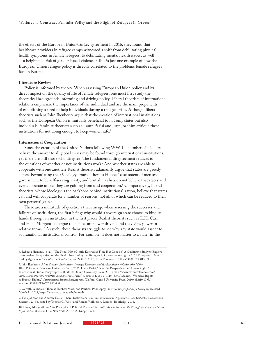the effects of the European Union-Turkey agreement in 2016, they found that healthcare providers in refugee camps witnessed a shift from debilitating physical health symptoms in female refugees, to debilitating mental health issues, as well as a heightened risk of gender-based violence.6 This is just one example of how the European Union refugee policy is directly correlated to the problems female refugees face in Europe.

#### **Literature Review**

Policy is informed by theory. When assessing European Union policy and its direct impact on the quality of life of female refugees, one must first study the theoretical backgrounds informing and driving policy. Liberal theorists of international relations emphasize the importance of the individual and are the main proponents of establishing a need to help individuals during a refugee crisis. Although liberal theorists such as John Ikenberry argue that the creation of international institutions such as the European Union is mutually beneficial to not only states but also individuals, feminist theorists such as Laura Parisi and Jutta Joachim critique these institutions for not doing enough to keep women safe.<sup>7</sup>

#### **International Cooperation**

Since the creation of the United Nations following WWII, a number of scholars believe the answer to all global crises may be found through international institutions, yet there are still those who disagree. The fundamental disagreement reduces to the questions of whether or not institutions work? And whether states are able to cooperate with one another? Realist theorists adamantly argue that states are greedy actors. Formulating their ideology around Thomas Hobbes' assessment of men and government to be self-serving, nasty, and brutish, realists do not believe that states will ever cooperate unless they are gaining from said cooperation.8 Comparatively, liberal theorists, whose ideology is the backbone behind institutionalization, believe that states can and will cooperate for a number of reasons, not all of which can be reduced to their own personal gain.<sup>9</sup>

There are a multitude of questions that emerge when assessing the successes and failures of institutions, the first being: why would a sovereign state choose to bind its hands through an institution in the first place? Realist theorists such as E.H. Carr and Hans Morgenthau argue that states are power driven, and they view power in relative terms.10 As such, these theorists struggle to see why any state would assent to supranational institutional control. For example, it does not matter to a state (in the

7. John Ikenberry, After Victory: *Institutions, Strategic Restraint, and the Rebuilding of Order after Major Wars*, Princeton: Princeton University Press, 2001; Laura Parisi, "Feminist Perspectives on Human Rights," International Studies Encyclopedia, (Oxford: Oxford University Press, 2010); http://www.oxfordreference.com/ view/10.1093/acref/9780191842665.001.0001/acref-9780191842665-e-0119; Jutta Joachim, "Women's Rights as Human Rights," *International Studies Encyclopedia*, (Oxford: Oxford University Press, 2010), doi:10.1093/ acrefore/9780190846626.013.430.

8. Garrath Williams, "Thomas Hobbes: Moral and Political Philosophy," *Internet Encyclopedia of Philosophy*, accessed March 21, 2019, https://www.iep.utm.edu/hobmoral/.

10. Hans J Morgantheau. "Six Principles of Political Realism," in P*olitics Among Nations: The Struggle for Power and Peace Fifth Edition Revised*, 4-15, New York: Alfred A. Knopf, 1978.

International Relations Journal **ISSUE 38** 2019 2019 36

<sup>6.</sup> Rebecca Hémono, , et al, "'The Needs Have Clearly Evolved as Time Has Gone on': A Qualitative Study to Explore Stakeholders' Perspectives on the Health Needs of Syrian Refugees in Greece Following the 2016 European Union-Turkey Agreement," *Conflict and Health*, 12, no. 24 (2018): 1-9, https://doi.org/10.1186/s13031-018-0158-9.

<sup>9.</sup> Tana Johnson and Andrew Heiss "Liberal Institutionalism," in *International Organization and Global Governance 2nd Edition*, 123-34, edited by Thomas G. Weiss and Rorden Wilkinson, London: Routledge, 2018.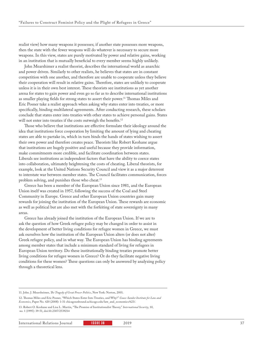realist view) how many weapons it possesses; if another state possesses more weapons, then the state with the fewer weapons will do whatever is necessary to secure more weapons. In this view, states are purely motivated by power and relative gains, working in an institution that is mutually beneficial to every member seems highly unlikely.

John Mearshimer a realist theorist, describes the international world as anarchic and power driven. Similarly to other realists, he believes that states are in constant competition with one another, and therefore are unable to cooperate unless they believe their cooperation will result in relative gains. Therefore, states are unlikely to cooperate unless it is in their own best interest. These theorists see institutions as yet another arena for states to gain power and even go so far as to describe international institutions as smaller playing fields for strong states to assert their power.11 Thomas Miles and Eric Posner take a realist approach when asking why states enter into treaties, or more specifically, binding multilateral agreements. After conducting research, these scholars conclude that states enter into treaties with other states to achieve personal gains. States will not enter into treaties if the costs outweigh the benefits.<sup>12</sup>

Those who believe that institutions are effective formulate their ideology around the idea that institutions force cooperation by limiting the amount of lying and cheating states are able to partake in, which in turn binds the hands of states wishing to assert their own power and therefore creates peace. Theorists like Robert Keohane argue that institutions are hugely positive and useful because they provide information, make commitments more credible, and facilitate coordination between states. Liberals see institutions as independent factors that have the ability to coerce states into collaboration, ultimately heightening the costs of cheating. Liberal theorists, for example, look at the United Nations Security Council and view it as a major deterrent to interstate war between member states. The Council facilitates communication, forces problem solving, and punishes those who cheat.<sup>13</sup>

Greece has been a member of the European Union since 1981, and the European Union itself was created in 1957, following the success of the Coal and Steel Community in Europe. Greece and other European Union countries gain many rewards for joining the institution of the European Union. These rewards are economic as well as political but are also met with the forfeiting of state sovereignty in many areas.

Greece has already joined the institution of the European Union. If we are to ask the question of how Greek refugee policy may be changed in order to assist in the development of better living conditions for refugee women in Greece, we must ask ourselves how the institution of the European Union alters (or does not alter) Greek refugee policy, and in what way. The European Union has binding agreements among member states that include a minimum standard of living for refugees in European Union territory. Do these institutionally binding treaties promote better living conditions for refugee women in Greece? Or do they facilitate negative living conditions for these women? These questions can only be answered by analyzing policy through a theoretical lens.

<sup>11.</sup> John. J. Mearsheimer, *The Tragedy of Great Power Politics*, New York: Norton, 2001.

<sup>12.</sup> Thomas Miles and Eric Posner, "Which States Enter Into Treaties, and Why?" *Coase-Sandor Institute for Law and Economics*, Paper No. 420 (2008): 1-31 chicagounbound.uchicago.edu/law\_and\_economics/623/.

<sup>13.</sup> Robert O. Keohane and Lisa L. Martin, "The Promise of Institutionalist Theory," *International Security*, 10, no. 1 (1995): 39-51, doi:10.2307/2539214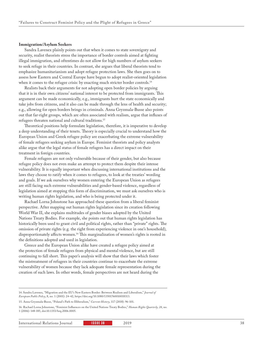#### **Immigration/Asylum Seekers**

Sandra Lavenex plainly points out that when it comes to state sovereignty and security, realist theorists stress the importance of border controls aimed at fighting illegal immigration, and oftentimes do not allow for high numbers of asylum seekers to seek refuge in their countries. In contrast, she argues that liberal theorists tend to emphasize humanitarianism and adopt refugee protection laws. She then goes on to assess how Eastern and Central Europe have begun to adopt realist-oriented legislation when it comes to the refugee crisis: by enacting much stricter border controls.<sup>14</sup>

Realists back their arguments for not adopting open border policies by arguing that it is in their own citizens' national interest to be protected from immigrants. This argument can be made economically, e.g., immigrants hurt the state economically and take jobs from citizens, and it also can be made through the lens of health and security; e.g., allowing for open borders brings in criminals. Anna Gryzmala-Busse also points out that far-right groups, which are often associated with realism, argue that influxes of refugees threaten national and cultural traditions.15

Theoretical positions help formulate legislation, therefore, it is imperative to develop a deep understanding of their tenets. Theory is especially crucial to understand how the European Union and Greek refugee policy are exacerbating the extreme vulnerability of female refugees seeking asylum in Europe. Feminist theorists and policy analysts alike argue that the legal status of female refugees has a direct impact on their treatment in foreign countries.

Female refugees are not only vulnerable because of their gender, but also because refugee policy does not even make an attempt to protect them despite their intense vulnerability. It is equally important when discussing international institutions and the laws they choose to ratify when it comes to refugees, to look at the treaties' wording and goals. If we ask ourselves why women entering the European Union as refugees are still facing such extreme vulnerabilities and gender-based violence, regardless of legislation aimed at stopping this form of discrimination, we must ask ourselves who is writing human rights legislation, and who is being protected under it.

Rachael Lorna Johnstone has approached these question from a liberal feminist perspective. After mapping out human rights legislation since its creation following World War II, she explains multitudes of gender biases adopted by the United Nations Treaty Bodies. For example, she points out that human rights legislation has historically been used to grant civil and political rights, rather than "private" rights. The omission of private rights (e.g. the right from experiencing violence in one's household), disproportionately affects women.16 This marginalization of women's rights is rooted in the definitions adopted and used in legislation.

Greece and the European Union alike have created a refugee policy aimed at the protection of female refugees from physical and mental violence, but are still continuing to fall short. This paper's analysis will show that their laws which foster the mistreatment of refugees in their countries continue to exacerbate the extreme vulnerability of women because they lack adequate female representation during the creation of such laws. In other words, female perspectives are not heard during the

<sup>14.</sup> Sandra Lavenex, "Migration and the EU's New Eastern Border: Between Realism and Liberalism," *Journal of European Public Policy*, 8, no. 1 (2001): 24-42, https://doi.org/10.1080/13501760010018313.

<sup>15.</sup> Anna Gryzmala-Busse, "Poland's Path to Illiberalism," *Current History*, 117 (2018): 96-101.

<sup>16.</sup> Rachael Lorna Johnstone, "Feminist Influences on the United Nations Treaty Bodies," *Human Rights Quarterly, 28*, no. 1 (2006): 148-185, doi:10.1353/hrq.2006.0005.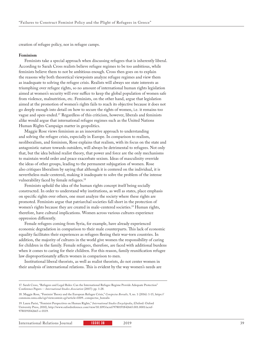creation of refugee policy, nor in refugee camps.

#### **Feminism**

Feminists take a special approach when discussing refugees that is inherently liberal. According to Sarah Cross realists believe refugee regimes to be too ambitious, while feminists believe them to not be ambitious enough. Cross then goes on to explain the reasons why both theoretical viewpoints analyze refugee regimes and view them as inadequate to solving the refugee crisis. Realists will always see state interests as triumphing over refugee rights, so no amount of international human rights legislation aimed at women's security will ever suffice to keep the global population of women safe from violence, malnutrition, etc. Feminists, on the other hand, argue that legislation aimed at the promotion of women's rights fails to reach its objective because it does not go deeply enough into detail on how to secure the rights of women, i.e. it remains too vague and open-ended.17 Regardless of this criticism, however, liberals and feminists alike would argue that international refugee regimes such as the United Nations Human Rights Campaign matter in geopolitics.

Maggie Rose views feminism as an innovative approach to understanding and solving the refugee crisis, especially in Europe. In comparison to realism, neoliberalism, and feminism, Rose explains that realism, with its focus on the state and antagonistic nature towards outsiders, will always be detrimental to refugees. Not only that, but the idea behind realist theory, that power and force are the only mechanisms to maintain world order and peace exacerbate sexism. Ideas of masculinity override the ideas of other groups, leading to the permanent subjugation of women. Rose also critiques liberalism by saying that although it is centered on the individual, it is nevertheless male-centered, making it inadequate to solve the problem of the intense vulnerability faced by female refugees.<sup>18</sup>

Feminists uphold the idea of the human rights concept itself being socially constructed. In order to understand why institutions, as well as states, place emphasis on specific rights over others, one must analyze the society where these rights are promoted. Feminists argue that patriarchal societies fall short in the protection of women's rights because they are created in male-centered societies.<sup>19</sup> Human rights, therefore, have cultural implications. Women across various cultures experience oppression differently.

Female refugees coming from Syria, for example, have already experienced economic degradation in comparison to their male counterparts. This lack of economic equality facilitates their experiences as refugees fleeing their war-torn countries. In addition, the majority of cultures in the world give women the responsibility of caring for children in the family. Female refugees, therefore, are faced with additional burdens when it comes to caring for their children. For this reason, family reunification refugee law disproportionately affects women in comparison to men.

Institutional liberal theorists, as well as realist theorists, do not center women in their analysis of international relations. This is evident by the way women's needs are

<sup>17.</sup> Sarah Cross, "Refugees and Legal Rules: Can the International Refugee Regime Provide Adequate Protection" Conference Papers -- *International Studies Association* (2007): pp. 1-28.

<sup>18.</sup> Maggie Rose, "Feminist Theory and the European Refugee Crisis," *Conspectus Borealis,* 9, no. 1 (2016): 1-15, https:// commons.nmu.edu/cgi/viewcontent.cgi?article=1009...conspectus\_borealis

<sup>19.</sup> Laura Parisi, "Feminist Perspectives on Human Rights," *International Studies Encyclopedia*, (Oxford: Oxford University Press, 2010), http://www.oxfordreference.com/view/10.1093/acref/9780191842665.001.0001/acref-9780191842665-e-0119.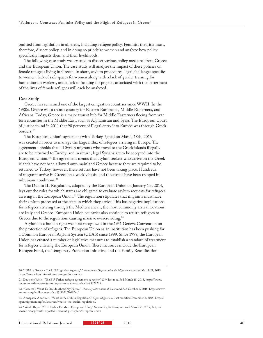omitted from legislation in all areas, including refugee policy. Feminist theorists must, therefore, dissect policy, and in doing so prioritize women and analyze how policy specifically impacts them and their livelihoods.

The following case study was created to dissect various policy measures from Greece and the European Union. The case study will analyze the impact of these policies on female refugees living in Greece. In short, asylum procedures, legal challenges specific to women, lack of safe spaces for women along with a lack of gender training for humanitarian workers, and a lack of funding for projects associated with the betterment of the lives of female refugees will each be analyzed.

#### **Case Study**

Greece has remained one of the largest emigration countries since WWII. In the 1980s, Greece was a transit country for Eastern Europeans, Middle Easterners, and Africans. Today, Greece is a major transit hub for Middle Easterners fleeing from wartorn countries in the Middle East, such as Afghanistan and Syria. The European Court of Justice found in 2011 that 90 percent of illegal entry into Europe was through Greek borders.20

The European Union's agreement with Turkey signed on March 18th, 2016 was created in order to manage the large influx of refugees arriving in Europe. The agreement upholds that all Syrian migrants who travel to the Greek islands illegally are to be returned to Turkey, and in return, legal Syrians are to be accepted into the European Union.21 The agreement means that asylum seekers who arrive on the Greek islands have not been allowed onto mainland Greece because they are required to be returned to Turkey, however, these returns have not been taking place. Hundreds of migrants arrive in Greece on a weekly basis, and thousands have been trapped in inhumane conditions.<sup>22</sup>

The Dublin III Regulation, adopted by the European Union on January 1st, 2014, lays out the rules for which states are obligated to evaluate asylum requests for refugees arriving in the European Union.<sup>23</sup> The regulation stipulates that migrants must have their asylum processed at the state in which they arrive. This has negative implications for refugees arriving through the Mediterranean, the most commonly arrival locations are Italy and Greece. European Union countries also continue to return refugees to Greece due to the regulation, causing massive overcrowding.<sup>24</sup>

Asylum as a human right was first recognized in the 1951 Geneva Convention on the protection of refugees. The European Union as an institution has been pushing for a Common European Asylum System (CEAS) since 1999. Since 1999, the European Union has created a number of legislative measures to establish a standard of treatment for refugees entering the European Union. These measures include the European Refugee Fund, the Temporary Protection Initiative, and the Family Reunification

24. "World Report 2018: Rights Trends in European Union," *Human Rights Watch*, accessed March 21, 2019, https:// www.hrw.org/world-report/2018/country-chapters/european-union

International Relations Journal **ISSUE 38 2019** 2019 2019 40

<sup>20. &</sup>quot;IOM in Greece - The UN Migration Agency," *International Organization for Migration* accessed March 21, 2019, https://greece.iom.int/en/iom-un-migration-agency.

<sup>21.</sup> Deutsche Welle, "The EU-Turkey refugee agreement: A review," *DW*, last modified March 18, 2018, https://www. dw.com/en/the-eu-turkey-refugee-agreement-a-review/a-43028295.

<sup>22. &</sup>quot;Greece: 'I Want To Decide About My Future,'" *Amnesty International*, Last modified October 5, 2018, https://www. amnesty.org/en/documents/eur25/9071/2018/en/

<sup>23.</sup> Annapaola Ammirati, "What is the Dublin Regulation?" *Open Migration*, Last modified December 8, 2015, https:// openmigration.org/en/analyses/what-is-the-dublin-regulation/.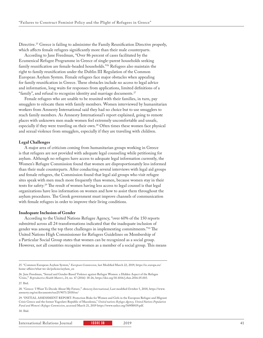Directive.<sup>25</sup> Greece is failing to administer the Family Reunification Directive properly, which affects female refugees significantly more than their male counterparts.

According to Jane Freedman, "Over 86 percent of cases facilitated by the Ecumenical Refugee Programme in Greece of single-parent households seeking family reunification are female-headed households."26 Refugees also maintain the right to family reunification under the Dublin III Regulation of the Common European Asylum System. Female refugees face major obstacles when appealing for family reunification in Greece. These obstacles include no access to legal advice and information, long waits for responses from applications, limited definitions of a "family", and refusal to recognize identity and marriage documents.<sup>27</sup>

Female refugees who are unable to be reunited with their families, in turn, pay smugglers to relocate them with family members. Women interviewed by humanitarian workers from Amnesty International said they had no choice but to use smugglers to reach family members. As Amnesty International's report explained, going to remote places with unknown men made women feel extremely uncomfortable and unsafe, especially if they were traveling on their own.28 Often times these women face physical and sexual violence from smugglers, especially if they are traveling with children.

#### **Legal Challenges**

A major area of criticism coming from humanitarian groups working in Greece is that refugees are not provided with adequate legal counseling while petitioning for asylum. Although no refugees have access to adequate legal information currently, the Women's Refugee Commission found that women are disproportionately less informed than their male counterparts. After conducting several interviews with legal aid groups and female refugees, the Commission found that legal aid groups who visit refugee sites speak with men much more frequently than women, because women stay in their tents for safety.29 The result of women having less access to legal counsel is that legal organizations have less information on women and how to assist them throughout the asylum procedures. The Greek government must improve channels of communication with female refugees in order to improve their living conditions.

#### **Inadequate Inclusion of Gender**

According to the United Nations Refugee Agency, "over 60% of the 150 reports submitted across all 24 transformations indicated that the inadequate inclusion of gender was among the top three challenges in implementing commitments."30 The United Nations High Commissioner for Refugees Guidelines on Membership of a Particular Social Group states that women can be recognized as a social group. However, not all countries recognize women as a member of a social group. This means

<sup>25. &</sup>quot;Common European Asylum System," *European Commission*, last Modified March 22, 2019, https://ec.europa.eu/ home-affairs/what-we-do/policies/asylum\_en

<sup>26.</sup> Jane Freedman, "Sexual and Gender-Based Violence against Refugee Women: a Hidden Aspect of the Refugee 'Crisis,'" *Reproductive Health Matters*, 24, no. 47 (2016): 18-26, https://doi.org/10.1016/j.rhm.2016.05.003.

<sup>27.</sup> Ibid.

<sup>28. &</sup>quot;Greece: 'I Want To Decide About My Future,'" *Amnesty International*, Last modified October 5, 2018, https://www. amnesty.org/en/documents/eur25/9071/2018/en/

<sup>29. &</sup>quot;INITIAL ASSESSMENT REPORT: Protection Risks for Women and Girls in the European Refugee and Migrant Crisis Greece and the former Yugoslave Republic of Macedonia," *United nations Refugee Agency, United Nations Population Fund and Women's Refugee Commission*, accessed March 21, 2019 https://www.unhcr.org/569f8f419.pdf. 30. Ibid.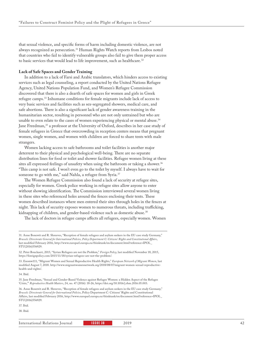that sexual violence, and specific forms of harm including domestic violence, are not always recognized as persecution.31 Human Rights Watch reports from Lesbos noted that countries who fail to identify vulnerable groups also fail to give them proper access to basic services that would lead to life improvement, such as healthcare.<sup>32</sup>

#### **Lack of Safe Spaces and Gender Training**

In addition to a lack of Farsi and Arabic translators, which hinders access to existing services such as legal counseling, a report conducted by the United Nations Refugee Agency, United Nations Population Fund, and Women's Refugee Commission discovered that there is also a dearth of safe spaces for women and girls in Greek refugee camps.33 Inhumane conditions for female migrants include lack of access to very basic services and facilities such as sex-segregated showers, medical care, and safe abortions. There is also a significant lack of gender awareness training in the humanitarian sector, resulting in personnel who are not only untrained but who are unable to even relate to the cases of women experiencing physical or mental abuse.<sup>34</sup> Jane Freedman,<sup>35</sup> a professor at the University of Oxford, describes in her case study of female refugees in Greece that overcrowding in reception centers means that pregnant women, single women, and women with children are forced to share tents with male strangers.

Women lacking access to safe bathrooms and toilet facilities is another major deterrent to their physical and psychological well-being. There are no separate distribution lines for food or toilet and shower facilities. Refugee women living at these sites all expressed feelings of unsafety when using the bathroom or taking a shower.<sup>36</sup> "This camp is not safe. I won't even go to the toilet by myself. I always have to wait for someone to go with me," said Nahla, a refugee from Syria.<sup>37</sup>

The Women Refugee Commission also found a lack of security at refugee sites, especially for women. Greek police working in refugee sites allow anyone to enter without showing identification. The Commission interviewed several women living in these sites who referenced holes around the fences enclosing their tents. These women described instances where men entered their sites through holes in the fences at night. This lack of security exposes women to numerous threats, including trafficking, kidnapping of children, and gender-based violence such as domestic abuse.<sup>38</sup>

The lack of doctors in refugee camps affects all refugees, especially women. Women

33. Enomw111, "Migrant Women and Sexual Reproductive Health Rights," *European Network of Migrant Women*, last modified August 7, 2018. http://www.migrantwomennetwork.org/2018/08/07/migrant-women-sexual-reproductivehealth-and-rights/.

34. Ibid.

36. Anne Bonewit and R. Shreeves, "Reception of female refugees and asylum seekers in the EU case study Germany," *Brussels: Directorate General for International Policies*, Policy Department C: Citizens' Rights and Constitutional Affairs, last modified February 2016, http://www.europarl.europa.eu/thinktank/en/document.html?reference=IPOL\_ STU(2016)556929.

37. Ibid.

38. Ibid.

<sup>31.</sup> Anne Bonewit and R. Shreeves, "Reception of female refugees and asylum seekers in the EU case study Germany," *Brussels: Directorate General for International Policies, Policy Department C: Citizens' Rights and Constitutional Affairs*, last modified February 2016, http://www.europarl.europa.eu/thinktank/en/document.html?reference=IPOL\_ STU(2016)556929.

<sup>32.</sup> Peter Bouckaert, 2015, "Syrian Refugees are not the Problem," *Foreign Policy*, last modified November 18, 2015, https://foreignpolicy.com/2015/11/18/syrian-refugees-are-not-the-problem/.

<sup>35.</sup> Jane Freedman, "Sexual and Gender-Based Violence against Refugee Women: a Hidden Aspect of the Refugee 'Crisis,'" *Reproductive Health Matters*, 24, no. 47 (2016): 18-26, https://doi.org/10.1016/j.rhm.2016.05.003.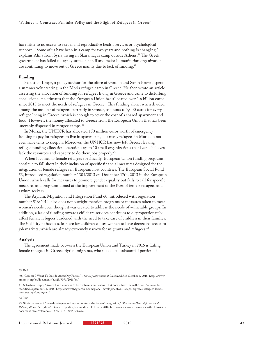have little to no access to sexual and reproductive health services or psychological support . "Some of us have been in a camp for two years and nothing is changing," explains Alma from Syria, living in Skaramagas camp outside Athens.<sup>39</sup> The Greek government has failed to supply sufficient staff and major humanitarian organizations are continuing to move out of Greece mainly due to lack of funding.40

#### **Funding**

Sebastian Leape, a policy advisor for the office of Gordon and Sarah Brown, spent a summer volunteering in the Moria refugee camp in Greece. He then wrote an article assessing the allocation of funding for refugees living in Greece and came to disturbing conclusions. He etimates that the European Union has allocated over 1.6 billion euros since 2015 to meet the needs of refugees in Greece. This funding alone, when divided among the number of refugees currently in Greece, amounts to 7,000 euros for every refugee living in Greece, which is enough to cover the cost of a shared apartment and food. However, the money allocated to Greece from the European Union that has been unevenly dispersed in refugee camps.<sup>41</sup>

In Moria, the UNHCR has allocated 150 million euros worth of emergency funding to pay for refugees to live in apartments, but many refugees in Moria do not even have tents to sleep in. Moreover, the UNHCR has now left Greece, leaving refugee funding allocation operations up to 10 small organizations that Leape believes lack the resources and capacity to do their jobs properly.<sup>42</sup>

When it comes to female refugees specifically, European Union funding programs continue to fall short in their inclusion of specific financial measures designed for the integration of female refugees in European host countries. The European Social Fund 53, introduced regulation number 1304/2013 on December 17th, 2013 in the European Union, which calls for measures to promote gender equality but fails to call for specific measures and programs aimed at the improvement of the lives of female refugees and asylum seekers.

The Asylum, Migration and Integration Fund 60, introduced with regulation number 516/2014, also does not outright mention programs or measures taken to meet women's needs even though it was created to address the needs of vulnerable groups. In addition, a lack of funding towards childcare services continues to disproportionately affect female refugees burdened with the need to take care of children in their families. The inability to have a safe space for children causes women to have decreased access to job markets, which are already extremely narrow for migrants and refugees.<sup>43</sup>

#### **Analysis**

The agreement made between the European Union and Turkey in 2016 is failing female refugees in Greece. Syrian migrants, who make up a substantial portion of

39. Ibid.

42. Ibid.

<sup>40. &</sup>quot;Greece: 'I Want To Decide About My Future,'" *Amnesty International,* Last modified October 5, 2018, https://www. amnesty.org/en/documents/eur25/9071/2018/en/

<sup>41.</sup> Sebastian Leape, "Greece has the means to help refugees on Lesbos—but does it have the will?" *The Guardian*, last modified September 13, 2018, https://www.theguardian.com/global-development/2018/sep/13/greece-refugees-lesbosmoria-camp-funding-will

<sup>43.</sup> Silvia Sansonetti, "Female refugees and asylum seekers: the issue of integration," *Directorate-General for Internal Policies*, Women's Rights & Gender Equality, last modified February 2016, http://www.europarl.europa.eu/thinktank/en/ document.html?reference=IPOL\_STU(2016)556929.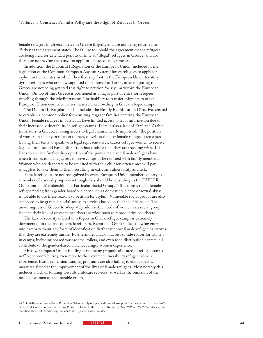female refugees in Greece, arrive in Greece illegally and are not being returned to Turkey as the agreement states. The failure to uphold the agreement means refugees are being held for extended periods of time as "illegal" refugees in Greece, and are therefore not having their asylum applications adequately processed.

In addition, the Dublin III Regulation of the European Union (included in the legislation of the Common European Asylum System) forces refugees to apply for asylum in the country in which they first step foot in the European Union territory. Syrian refugees who are now supposed to be moved to Turkey after migrating to Greece are not being granted this right to petition for asylum within the European Union. On top of this, Greece is positioned as a major port of entry for refugees traveling through the Mediterranean. The inability to transfer migrants to other European Union countries causes massive overcrowding in Greek refugee camps.

The Dublin III Regulation also includes the Family Reunification Directive, created to establish a common policy for reuniting migrant families entering the European Union. Female refugees in particular have limited access to legal information due to their increased vulnerability in refugee camps. There is also a lack of Farsi and Arabic translators in Greece, making access to legal counsel nearly impossible. The position of women in society in relation to men, as well as the fear female refugees face when leaving their tents to speak with legal representatives, causes refugee women to receive legal counsel second hand, often from husbands or men they are traveling with. This leads to an even further disproportion of the power male and female refugees have when it comes to having access to leave camps or be reunited with family members. Women who are desperate to be reunited with their children often times will pay smugglers to take them to them, resulting in extreme vulnerability and risk.

Female refugees are not recognized by every European Union member country as a member of a social group, even though they should be according to the UNHCR Guidelines on Membership of a Particular Social Group.44 This means that a female refugee fleeing from gender-based violence such as domestic violence or sexual abuse is not able to use these reasons to petition for asylum. Vulnerable social groups are also supposed to be granted special access to services based on their specific needs. The unwillingness of Greece to adequately address the needs of women as a social group leads to their lack of access to healthcare services such as reproductive healthcare.

The lack of security offered to refugees in Greek refugee camps is extremely detrimental to the lives of female refugees. Reports of Greek police allowing entry into camps without any form of identification further support female refugee narratives that they are extremely unsafe. Furthermore, a lack of access to safe spaces for women in camps, including shared washrooms, toilets, and even food distribution centers, all contribute to the gender-based violence refugee women experience.

Finally, European Union funding is not being properly allocated to refugee camps in Greece, contributing even more to the extreme vulnerability refugee women experience. European Union funding programs are also failing to adopt specific measures aimed at the improvement of the lives of female refugees. Most notably this includes a lack of funding towards childcare services, as well as the omission of the needs of women as a vulnerable group.

44. "Guidelines on International Protection: 'Membership of a particular social group' within the context of article 1A(2) of the 1951 Convention and/or its 1967 Protocol relating to the Status of Refugees," *UNHCR the UN Refugee Agency*, last modified May 7 2002, hrlibrary.umn.edu/unhcr\_gender-guidelines.doc.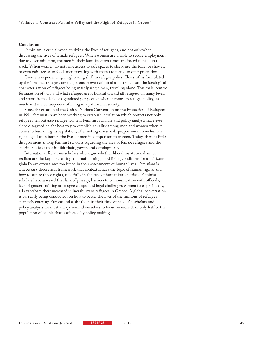#### **Conclusion**

Feminism is crucial when studying the lives of refugees, and not only when discussing the lives of female refugees. When women are unable to secure employment due to discrimination, the men in their families often times are forced to pick up the slack. When women do not have access to safe spaces to sleep, use the toilet or shower, or even gain access to food, men traveling with them are forced to offer protection.

Greece is experiencing a right-wing shift in refugee policy. This shift is formulated by the idea that refugees are dangerous or even criminal and stems from the ideological characterization of refugees being mainly single men, traveling alone. This male-centric formulation of who and what refugees are is hurtful toward all refugees on many levels and stems from a lack of a gendered perspective when it comes to refugee policy, as much as it is a consequence of living in a patriarchal society.

Since the creation of the United Nations Convention on the Protection of Refugees in 1951, feminists have been working to establish legislation which protects not only refugee men but also refugee women. Feminist scholars and policy analysts have ever since disagreed on the best way to establish equality among men and women when it comes to human rights legislation, after noting massive disproportion in how human rights legislation betters the lives of men in comparison to women. Today, there is little disagreement among feminist scholars regarding the area of female refugees and the specific policies that inhibit their growth and development.

International Relations scholars who argue whether liberal institutionalism or realism are the keys to creating and maintaining good living conditions for all citizens globally are often times too broad in their assessments of human lives. Feminism is a necessary theoretical framework that contextualizes the topic of human rights, and how to secure those rights, especially in the case of humanitarian crises. Feminist scholars have assessed that lack of privacy, barriers to communication with officials, lack of gender training at refugee camps, and legal challenges women face specifically, all exacerbate their increased vulnerability as refugees in Greece. A global conversation is currently being conducted, on how to better the lives of the millions of refugees currently entering Europe and assist them in their time of need. As scholars and policy analysts we must always remind ourselves to focus on more than only half of the population of people that is affected by policy making.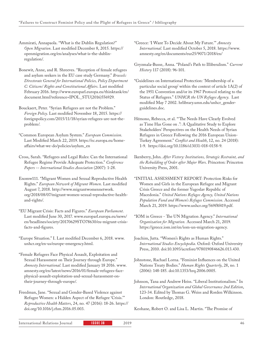Ammirati, Annapaola. "What is the Dublin Regulation?" *Open Migration*. Last modified December 8, 2015. https:// openmigration.org/en/analyses/what-is-the-dublinregulation/.

- Bonewit, Anne, and R. Shreeves. "Reception of female refugees and asylum seekers in the EU case study Germany." *Brussels: Directorate General for International Policies, Policy Department C: Citizens' Rights and Constitutional Affairs*. Last modified February 2016. http://www.europarl.europa.eu/thinktank/en/ document.html?reference=IPOL\_STU(2016)556929.
- Bouckaert, Peter. "Syrian Refugees are not the Problem." *Foreign Policy*. Last modified November 18, 2015. https:// foreignpolicy.com/2015/11/18/syrian-refugees-are-not-theproblem/.
- "Common European Asylum System." *European Commission*. Last Modified March 22, 2019. https://ec.europa.eu/homeaffairs/what-we-do/policies/asylum\_en
- Cross, Sarah. "Refugees and Legal Rules: Can the International Refugee Regime Provide Adequate Protection." *Conference Papers -- International Studies Association* (2007): 1-28.
- Enomw111. "Migrant Women and Sexual Reproductive Health Rights." *European Network of Migrant Women*. Last modified August 7, 2018. http://www.migrantwomennetwork. org/2018/08/07/migrant-women-sexual-reproductive-healthand-rights/.
- "EU Migrant Crisis: Facts and Figures." *European Parliament*. Last modified June 30, 2017. www.europarl.europa.eu/news/ en/headlines/society/20170629STO78630/eu-migrant-crisisfacts-and-figures.
- "Europe Situation." I. Last modified December 6, 2018. www. unhcr.org/en-us/europe-emergency.html.
- "Female Refugees Face Physical Assault, Exploitation and Sexual Harassment on Their Journey through Europe." *Amnesty International*. Last modified January 18 2016. www. amnesty.org/en/latest/news/2016/01/female-refugees-facephysical-assault-exploitation-and-sexual-harassment-ontheir-journey-through-europe/.
- Freedman, Jane. "Sexual and Gender-Based Violence against Refugee Women: a Hidden Aspect of the Refugee 'Crisis.'" *Reproductive Health Matters*, 24, no. 47 (2016): 18-26. https:// doi.org/10.1016/j.rhm.2016.05.003.
- "Greece: 'I Want To Decide About My Future.'" *Amnesty International*. Last modified October 5, 2018. https://www. amnesty.org/en/documents/eur25/9071/2018/en/
- Gryzmala-Busse, Anna. "Poland's Path to Illiberalism." *Current History* 117 (2018): 96-101.
- "Guidelines on International Protection: 'Membership of a particular social group' within the context of article 1A(2) of the 1951 Convention and/or its 1967 Protocol relating to the Status of Refugees." *UNHCR the UN Refugee Agency*. Last modified May 7 2002. hrlibrary.umn.edu/unhcr\_genderguidelines.doc.
- Hémono, Rebecca, et al. "'The Needs Have Clearly Evolved as Time Has Gone on .": A Qualitative Study to Explore Stakeholders' Perspectives on the Health Needs of Syrian Refugees in Greece Following the 2016 European Union-Turkey Agreement." *Conflict and Health*, 12, no. 24 (2018): 1-9. https://doi.org/10.1186/s13031-018-0158-9.
- Ikenberry, John. *After Victory: Institutions, Strategic Restraint, and the Rebuilding of Order after Major Wars*. Princeton: Princeton University Press, 2001.
- "INITIAL ASSESSMENT REPORT: Protection Risks for Women and Girls in the European Refugee and Migrant Crisis Greece and the former Yugoslav Republic of Macedonia." *United Nations Refugee Agency, United Nations Population Fund and Women's Refugee Commission*. Accessed March 21, 2019. https://www.unhcr.org/569f8f419.pdf.
- "IOM in Greece The UN Migration Agency." *International Organization for Migration.* Accessed March 21, 2019. https://greece.iom.int/en/iom-un-migration-agency.
- Joachim, Jutta. "Women's Rights as Human Rights." *International Studies Encyclopedia*. Oxford: Oxford University Press, 2010. doi:10.1093/acrefore/9780190846626.013.430.
- Johnstone, Rachael Lorna. "Feminist Influences on the United Nations Treaty Bodies." *Human Rights Quarterly*, 28, no. 1 (2006): 148-185. doi:10.1353/hrq.2006.0005.
- Johnson, Tana and Andrew Heiss. "Liberal Institutionalism." In *International Organization and Global Governance 2nd Edition*, 123-34. Edited by Thomas G. Weiss and Rorden Wilkinson. London: Routledge, 2018.

Keohane, Robert O. and Lisa L. Martin. "The Promise of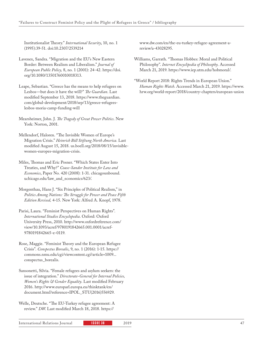Institutionalist Theory." *International Security*, 10, no. 1 (1995):39-51. doi:10.2307/2539214

- Lavenex, Sandra. "Migration and the EU's New Eastern Border: Between Realism and Liberalism." *Journal of European Public Policy,* 8, no. 1 (2001): 24-42. https://doi. org/10.1080/13501760010018313.
- Leape, Sebastian. "Greece has the means to help refugees on Lesbos—but does it have the will?" *The Guardian*. Last modified September 13, 2018. https://www.theguardian. com/global-development/2018/sep/13/greece-refugeeslesbos-moria-camp-funding-will
- Mearsheimer, John. J. *The Tragedy of Great Power Politics*. New York: Norton, 2001.
- Mellendorf, Haloren. "The Invisible Women of Europe's Migration Crisis." *Heinrich Böll Stiftung North America.* Last modified August 15, 2018. us.boell.org/2018/08/15/invisiblewomen-europes-migration-crisis.
- Miles, Thomas and Eric Posner. "Which States Enter Into Treaties, and Why?" *Coase-Sandor Institute for Law and Economics*, Paper No. 420 (2008): 1-31. chicagounbound. uchicago.edu/law\_and\_economics/623/.
- Morgenthau, Hans J. "Six Principles of Political Realism," in *Politics Among Nations: The Struggle for Power and Peace Fifth Edition Revised,* 4-15. New York: Alfred A. Knopf, 1978.
- Parisi, Laura. "Feminist Perspectives on Human Rights". *International Studies Encyclopedia*. Oxford: Oxford University Press, 2010. http://www.oxfordreference.com/ view/10.1093/acref/9780191842665.001.0001/acref-9780191842665-e-0119.
- Rose, Maggie. "Feminist Theory and the European Refugee Crisis". *Conspectus Borealis*, 9, no. 1 (2016): 1-15. https:// commons.nmu.edu/cgi/viewcontent.cgi?article=1009... conspectus\_borealis.
- Sansonetti, Silvia. "Female refugees and asylum seekers: the issue of integration." *Directorate-General for Internal Policies, Women's Rights & Gender Equality*. Last modified February 2016. http://www.europarl.europa.eu/thinktank/en/ document.html?reference=IPOL\_STU(2016)556929.
- Welle, Deutsche. "The EU-Turkey refugee agreement: A review." *DW*. Last modified March 18, 2018. https://

www.dw.com/en/the-eu-turkey-refugee-agreement-areview/a-43028295.

- Williams, Garrath. "Thomas Hobbes: Moral and Political Philosophy". *Internet Encyclipedia of Philosophy*. Accessed March 21, 2019. https://www.iep.utm.edu/hobmoral/.
- "World Report 2018: Rights Trends in European Union." *Human Rights Watch*. Accessed March 21, 2019. https://www. hrw.org/world-report/2018/country-chapters/european-union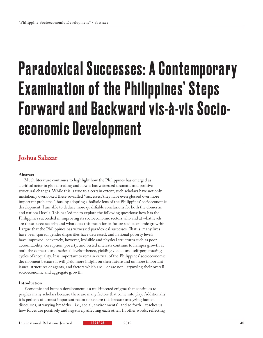# Paradoxical Successes: A Contemporary Examination of the Philippines' Steps Forward and Backward vis-à-vis Socioeconomic Development

### **Joshua Salazar**

#### **Abstract**

Much literature continues to highlight how the Philippines has emerged as a critical actor in global trading and how it has witnessed dramatic and positive structural changes. While this is true to a certain extent, such scholars have not only mistakenly overlooked these so-called "successes,"they have even glossed over more important problems. Thus, by adopting a holistic lens of the Philippines' socioeconomic development, I am able to deduce more qualifiable conclusions for both the domestic and national levels. This has led me to explore the following questions: how has the Philippines succeeded in improving its socioeconomic sectors;who and at what levels are these successes felt; and what does this mean for its future socioeconomic growth? I argue that the Philippines has witnessed paradoxical successes. That is, many lives have been spared, gender disparities have decreased, and national poverty levels have improved; conversely, however, invisible and physical structures such as poor accountability, corruption, poverty, and vested interests continue to hamper growth at both the domestic and national levels—hence, yielding vicious and self-perpetuating cycles of inequality. It is important to remain critical of the Philippines' socioeconomic development because it will yield more insight on their future and on more important issues, structures or agents, and factors which are—or are not—stymying their overall socioeconomic and aggregate growth.

#### **Introduction**

Economic and human development is a multifaceted enigma that continues to perplex many scholars because there are many factors that come into play. Additionally, it is perhaps of utmost important realm to explore this because analyzing human discourses, at varying breadths—i.e., social, environmental, and so forth—teaches us how forces are positively and negatively affecting each other. In other words, reflecting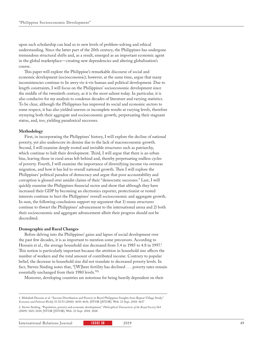upon such scholarship can lead us to new levels of problem-solving and ethical understanding. Since the latter part of the 20th century, the Philippines has undergone tremendous structural shifts and, as a result, emerged as an important economic agent in the global marketplace—creating new dependencies and altering globalization's course.

This paper will explore the Philippine's remarkable discourse of social and economic development (socioeconomic); however, at the same time, argue that many inconsistencies continue to lie awry vis-à-vis human and political development. Due to length constraints, I will focus on the Philippines' socioeconomic development since the middle of the twentieth century, as it is the most salient today. In particular, it is also conducive for my analysis to condense decades of literature and varying statistics. To be clear, although the Philippines has improved its social and economic sectors to some respect, it has also yielded uneven or incomplete results at varying levels, therefore stymying both their aggregate and socioeconomic growth, perpetuating their stagnant status, and, too, yielding paradoxical successes.

#### **Methodology**

First, in incorporating the Philippines' history, I will explore the decline of national poverty, yet also underscore its demise due to the lack of macroeconomic growth. Second, I will examine deeply rooted and invisible structures such as patriarchy, which continue to halt their development. Third, I will argue that there is an urban bias, leaving those in rural areas left behind and, thereby perpetuating endless cycles of poverty. Fourth, I will examine the importance of diversifying income via overseas migration, and how it has led to overall national growth. Then I will explore the Philippines' political paradox of democracy and argue that poor accountability and corruption is glossed over amidst claims of their "democratic successes." Last, I will quickly examine the Philippines financial sector and show that although they have increased their GDP by becoming an electronics exporter, protectionist or vested interests continue to hurt the Philippines' overall socioeconomic and aggregate growth. In sum, the following conclusions support my argument that 1) many structures continue to thwart the Philippines' advancement to the international arena and 2) both their socioeconomic and aggregate advancement albeit their progress should not be discredited.

#### **Demographic and Rural Changes**

Before delving into the Philippines' gains and lapses of social development over the past few decades, it is as important to mention some precursors. According to Hossain et al., the average household size decreased from 5.4 in 1985 to 4.8 in 1997.<sup>1</sup> This notion is particularly important because the attrition in household size affects the number of workers and the total amount of contributed income. Contrary to popular belief, the decrease in household size did not translate to decreased poverty levels. In fact, Steven Sinding notes that, "[W]here fertility has declined . . . poverty rates remain essentially unchanged from their 1980 levels."22

Moreover, developing countries are notorious for being heavily dependent on their

<sup>1.</sup> Mahabub Hossain et al. "Income Distribution and Poverty in Rural Philippines Insights from Repeat Village Study," *Economic and Political Weekly* 35.52/53 (2000): 4650-4656. JSTOR [JSTOR]. Web. 23 Sept. 2018. 4657

<sup>2.</sup> Steven Sinding. "Population, poverty and economic development," *Philosophical Transactions of the Royal Society* 364 (2009): 3023-3030. JSTOR [JSTOR]. Web. 23 Sept. 2018. 3028.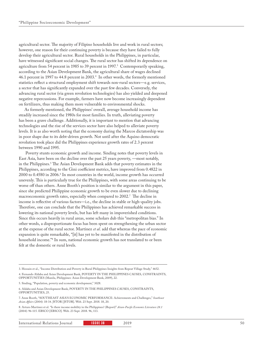agricultural sector. The majority of Filipino households live and work in rural sectors; however, one reason for their continuing poverty is because they have failed to fully develop their agricultural sector. Rural households in the Philippines, in particular, have witnessed significant social changes. The rural sector has shifted its dependence on agriculture from 54 percent in 1985 to 39 percent in 1997.3 Contemporarily speaking, according to the Asian Development Bank, the agricultural share of wages declined 46.1 percent in 1997 to 44.8 percent in 2003.<sup>4</sup> In other words, the formerly mentioned statistics reflect a structural employment shift towards non-rural sectors—e.g. services, a sector that has significantly expanded over the past few decades. Conversely, the advancing rural sector (via green revolution technologies) has also yielded and deepened negative repercussions. For example, farmers have now become increasingly dependent on fertilizers, thus making them more vulnerable to environmental shocks.

As formerly mentioned, the Philippines' overall, average household income has steadily increased since the 1980s for most families. In truth, alleviating poverty has been a grave challenge. Additionally, it is important to mention that advancing technologies and the rise of the services sector have also helped to alleviate poverty levels. It is as also worth noting that the economy during the Marcos dictatorship was in poor shape due to its debt-driven growth. Not until after the Aquino democratic revolution took place did the Philippines experience growth rates of 2.3 percent between 1990 and 1995.

 Poverty stunts economic growth and income. Sinding notes that poverty levels in East Asia, have been on the decline over the past 25 years poverty, —most notably, in the Philippines.5 The Asian Development Bank adds that poverty estimates in the Philippines, according to the Gini coefficient metrics, have improved from 0.4822 in 2000 to 0.4580 in 2006.<sup>6</sup> In most countries in the world, income growth has occurred unevenly. This is particularly true for the Philippines, with some areas continuing to be worse off than others. Anne Booth's position is similar to the argument in this paper, since she predicted Philippine economic growth to be even slower due to declining macroeconomic growth rates, especially when compared to 2002.7 The decline in income is reflective of various factors—i.e., the decline in stable or high-quality jobs. Therefore, one can conclude that the Philippines has achieved remarkable success in lowering its national poverty levels, but has left many in impoverished conditions. Since this occurs heavily in rural areas, some scholars dub this "metropolitan bias." In other words, a disproportionate focus has been spent on strengthening the urban sector at the expense of the rural sector. Martinez *et al*. add that whereas the pace of economic expansion is quite remarkable, "[it] has yet to be manifested in the distribution of household income."8 In sum, national economic growth has not translated to or been felt at the domestic or rural levels.

8. Arturo Martinez et al. "Is there income mobility in the Philippines? (Report)" *Asian-Pacific Economic Literature 28.1*  (2004): 96-115. EBSCO [EBSCO]. Web. 23 Sept. 2018. 96, 113.

<sup>3.</sup> Hossain et al., "Income Distribution and Poverty in Rural Philippines Insights from Repeat Village Study," 4652.

<sup>4.</sup> Fernando Aldaba and Asian Development Bank, POVERTY IN THE PHILIPPINES CAUSES, CONSTRAINTS, OPPORTUNITIES (Manila, Philippines: Asian Development Bank, 2009), 22.

<sup>5.</sup> Sinding, "Population, poverty and economic development," 3028.

<sup>6.</sup> Aldaba and Asian Development Bank, POVERTY IN THE PHILIPPINES CAUSES, CONSTRAINTS, OPPORTUNITIES, 25.

<sup>7.</sup> Anne Booth, "SOUTHEAST ASIA'S ECONOMIC PERFORMANCE: Achievements and Challenges," *Southeast Asian Affairs* (2004): 18-34. JSTOR [JSTOR]. Web. 23 Sept. 2018. 18, 20.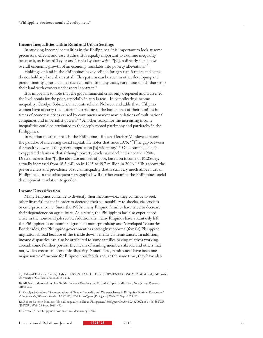#### **Income Inequalities within Rural and Urban Settings**

In studying income inequalities in the Philippines, it is important to look at some precursors, effects, and case studies. It is equally important to examine inequality because it, as Edward Taylor and Travis Lybbert write, "[C]an directly shape how overall economic growth of an economy translates into poverty alleviation." <sup>9</sup>

Holdings of land in the Philippines have declined for agrarian farmers and some; do not hold any land shares at all. This pattern can be seen in other developing and predominantly agrarian states such as India. In many cases, rural households sharecrop their land with owners under rental contract.<sup>10</sup>

It is important to note that the global financial crisis only deepened and worsened the livelihoods for the poor, especially in rural areas. In complicating income inequality, Carolyn Sobritchea recounts scholar Nolasco, and adds that, "Filipino women have to carry the burden of attending to the basic needs of their families in times of economic crises caused by continuous market manipulations of multinational companies and imperialist powers."11 Another reason for the increasing income inequalities could be attributed to the deeply rooted patrimony and patriarchy in the Philippines.

In relation to urban areas in the Philippines, Robert Fletcher Manlove explores the paradox of increasing social capital. He notes that since 1975, "[T]he gap between the wealthy few and the general population [is] widening."12 One example of such exaggerated claims is that although poverty levels have declined since the 1980s, Dressel asserts that "[T]he absolute number of poor, based on income of \$1.25/day, actually increased from 18.5 million in 1985 to 19.7 million in 2006."13 This shows the pervasiveness and prevalence of social inequality that is still very much alive in urban Philippines. In the subsequent paragraphs I will further examine the Philippines social development in relation to gender.

#### **Income Diversification**

Many Filipinos continue to diversify their income—i.e., they continue to seek other financial means in order to decrease their vulnerability to shocks, via services or enterprise income. Since the 1980s, many Filipino families have tried to decrease their dependence on agriculture. As a result, the Philippines has also experienced a rise in the non-rural job sector. Additionally, many Filipinos have voluntarily left the Philippines as economic migrants to more-promising and "developed" countries. For decades, the Philippine government has strongly supported (female) Philippine migration abroad because of the trickle down benefits via remittances. In addition, income disparities can also be attributed to some families having relatives working abroad: some families possess the means of sending members abroad and others may not, which creates an economic disparity. Nonetheless, remittances have been one major source of income for Filipino households and, at the same time, they have also

<sup>9.</sup> J. Edward Taylor and Travis J. Lybbert, ESSENTIALS OF DEVELOPMENT ECONOMICS (Oakland, California: University of California Press, 2015), 111.

<sup>10.</sup> Michael Todaro and Stephen Smith, *Economic Development,* 12th ed. (Upper Saddle River, New Jersey: Pearson, 2015), 454.

<sup>11.</sup> Carolyn Sobritchea. "Representations of Gender Inequality and Women's Issues in Philippine Feminist Discourses." *Asian Journal of Women's Studies* 11.2 (2005): 67-88. ProQuest [ProQuest]. Web. 23 Sept. 2018. 73

<sup>12.</sup> Robert Fletcher-Manlove. "Social Inequality in Urban Philippines." *Philippine Studies* 50.4 (2002): 451-495. JSTOR [JSTOR]. Web. 23 Sept. 2018. 492

<sup>13.</sup> Dressel, "The Philippines: how much real democracy?", 539.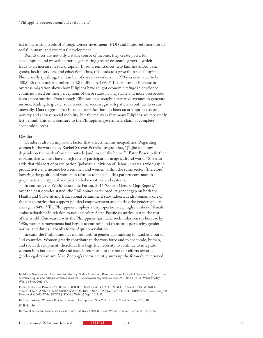led to increasing levels of Foreign Direct Investment (FDI) and improved their overall social, human, and structural development.

Remittances are not only a stable source of income; they create powerful consumption and growth patterns, generating greater economic growth, which leads to an increase in social capital. In sum, remittances help families afford basic goods, health services, and education. Thus, this leads to a growth in social capital. Numerically speaking, the number of overseas workers in 1979 was estimated to be 380,000: the number climbed to 3.8 million by 1995.14 This enormous increase in overseas migration shows how Filipinos have sought economic refuge in developed countries based on their perceptions of these states having stable and more prosperous labor opportunities. Even though Filipinos have sought alternative avenues to generate income, leading to greater socioeconomic success, growth patterns continue to occur unevenly. Data suggests that income diversification has been an attempt to escape poverty and achieve social mobility, but the reality is that many Filipinos are repeatedly left behind. This runs contrary to the Philippines government claim of complete economic success.

#### **Gender**

Gender is also an important factor that affects income inequalities. Regarding women in the workplace, Rachel Salazar Parreñas argues that, "[T]he economy depends on the work of women outside [and inside] the home."15 Ester Boserup further explains that women have a high rate of participation in agricultural work;<sup>16</sup> She also adds that this sort of participation "polarize[s] division of [labor], creates a wide gap in productivity and income between men and women within the same sector, [therefore], lowering the position of women in relation to men."<sup>17</sup> This pattern continues to perpetuate stereotypical and patriarchal narratives and systems.

In contrast, the World Economic Forum, 2016 "Global Gender Gap Report," over the past decades stated, the Philippines had closed its gender gap on both the Health and Survival and Educational Attainment sub-indexes. It also remains one of the top countries that support political empowerment and closing the gender gap: its average is 94%.18 The Philippines employs a disproportionately high number of female ambassadorships in relation to not just other Asian Pacific countries, but to the rest of the world. One reason why the Philippines has made such milestones is because by 1986, women's movements had begun to confront and transform patriarchy, gender norms, and duties—thanks to the Aquino revolution.

In sum, the Philippines has moved itself in gender gap ranking to number 7 out of 144 countries. Women greatly contribute to the workforce and to economic, human, and social development; therefore, this begs the necessity to continue to integrate women into both economic and social sectors and to further our efforts towards gender egalitarianism. Mao Zedong's rhetoric neatly sums up the formerly mentioned

17. Ibid., 130.

18. World Economic Forum. *The Global Gender Gap Report* 2016 (Geneva: World Economic Forum, 2016), 14, 16.

<sup>14.</sup> Moshe Semynov and Anastasia Gorodzeisky. "Labor Migration, Remittances and Household Income: A Comparison between Filipino and Filipina Overseas Workers." *International Migration Review* 39.1 (2005): 45-68. Wiley [Wiley]. Web. 23 Sept. 2018. 59.

<sup>15.</sup> Rachel Salazar Parreñas. "THE GENDER IDEOLOGICAL CLASH IN GLOBALIZATION: WOMEN, MIGRATION, AND THE MODERNIZATION BUILDING PROJECT OF THE PHILIPPINES." *Social Though & Research* 28 (2007): 37-56. JSTOR [JSTOR]. Web. 23 Sept. 2018. 37.

<sup>16.</sup> Ester Boserup, Woman's Role in Economic Development (New York City: St. Martin's Press, 1970), 10.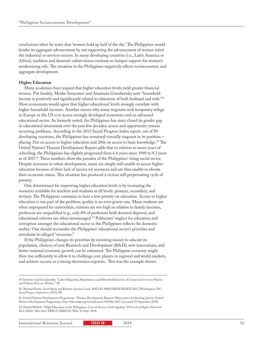conclusions when he notes that 'women hold up half of the sky.' The Philippines would hinder its aggregate advancement by not supporting the advancement of women in(to) the industrial or services sectors. In many developing countries (i.e., Latin America or Africa), tradition and domestic subservience continue to hamper support for women's modernizing role. The situation in the Philippines negatively effects socioeconomic and aggregate development.

#### **Higher Education**

Many academics have argued that higher education levels yield greater financial returns. Put frankly, Moshe Semyonov and Anastasia Gorodzeisky note "household income is positively and significantly related to education of both husband and wife."19 Most economists would agree that higher educational levels strongly correlate with higher household incomes. Another reason why many migrants seek temporary refuge in Europe or the US is to access strongly developed economies and an advanced educational sector. As formerly noted, the Philippines has since closed its gender gap in educational attainment over the past few decades; access and opportunity remain recurring problems. According to the 2013 Social Progress Index report, out of 50 developing countries, the Philippines has remained virtually stagnant in its position placing 31st on access to higher education and 29th on access to basic knowledge.<sup>20</sup> The United Nations' Human Development Report adds that in relation to mean years of schooling, the Philippines has slightly progressed from 6.6 years since 1990 to 9.3 years as of 2017.<sup>21</sup> These numbers show the paradox of the Philippines' rising social sector. Despite increases in urban development, many are simply still unable to access higher education because of their lack of (access to) resources and are thus unable to elevate their economic status. This situation has produced a vicious self-perpetuating cycle of poverty.

One determinant for improving higher education levels is by increasing the resources available for teachers and students at all levels: primary, secondary, and tertiary. The Philippines continues to have a low priority on education. Access to higher education is one part of the problem; quality is an even graver one. Many students are often unprepared for universities, tuitions are too high in relation to family incomes, professors are unqualified (e.g., only 8% of professors hold doctoral degrees), and educational reforms are often mismanaged.22 Politicians' neglect for education and corruption amongst the educational sector in the Philippines reflects the domestic reality: One should reconsider the Philippines' educational sector's priorities and reevaluate its alleged "successes."

If the Philippines changes its priorities by investing money to educate its population, chances of new Research and Development (R&D), new innovations, and better national economic growth can be enhanced. The Philippine economy might then rise sufficiently to allow it to challenge core players in regional and world markets, and achieve success as a strong electronics exporter. This was the example shown

22. Daniel Walfish. "High Education in the Philippines: Lots of Access, Little Quality." *Chronicle of Higher Education*  48.2 (2001): A60-A62. EBSCO [EBSCO]. Web. 23 Sept. 2018.

International Relations Journal **ISSUE 38 2019** 2019 **53** 

<sup>19.</sup> Semynov and Gorodzeisky. "Labor Migration, Remittances and Household Income: *A Comparison between Filipino and Filipina Overseas Workers,*" 58.

<sup>20.</sup> Michael Porter, Scott Stern and Roberto Artavia Loría, SOCIAL PROGRESS INDEX 2013 (Washington, DC: *Social Progress Imperative*, 2013), 88.

<sup>21.</sup> United Nations Development Programme, "Human Development Reports: Mean years of schooling (years), United Nations Development Programme, http://hdr.undp.org/en/indicators/103006, 2017. [accessed 23 September 2018].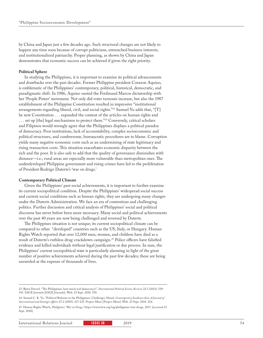by China and Japan just a few decades ago. Such structural changes are not likely to happen any time soon because of corrupt politicians, entrenched business interests, and institutionalized patriarchy. Proper planning, as shown by China and Japan demonstrates that economic success can be achieved if given the right priority.

#### **Political Sphere**

In studying the Philippines, it is important to examine its political advancements and drawbacks over the past decades. Former Philippine president Corazon Aquino, is emblematic of the Philippines' contemporary, political, historical, democratic, and paradigmatic shift. In 1986, Aquino ousted the Ferdinand Marcos dictatorship with her 'People Power' movement. Not only did voter turnouts increase, but also the 1987 establishment of the Philippine Constitution resulted in impressive "institutional arrangements regarding liberal, civil, and social rights."23 Samuel Yu adds that, "[T] he new Constitution . . . expanded the content of the articles on human rights and ... set up [the] legal mechanisms to protect them."<sup>24</sup> Conversely, critical scholars and Filipinos would strongly agree that the Philippines displays a political paradox of democracy. Poor institutions, lack of accountability, complex socioeconomic and political structures, and cumbersome, bureaucratic procedures are to blame. Corruption yields many negative economic costs such as an undermining of state legitimacy and rising transaction costs. This situation exacerbates economic disparity between the rich and the poor. It is also safe to add that the quality of governance diminishes with distance—i.e.; rural areas are especially more vulnerable than metropolitan ones. The underdeveloped Philippine government and rising crimes have led to the proliferation of President Rodrigo Duterte's 'war on drugs.'

#### **Contemporary Political Climate**

Given the Philippines' past social achievements, it is important to further examine its current sociopolitical condition. Despite the Philippines' widespread social success and current social conditions such as human rights, they are undergoing many changes under the Duterte Administration. We face an era of contentious and challenging politics. Further discussion and critical analysis of Philippines' social and political discourse has never before been more necessary. Many social and political achievements over the past 40 years are now being challenged and reversed by Duterte.

The Philippines situation is not unique; its current sociopolitical climate can be compared to other "developed" countries such as the US, Italy, or Hungary. Human Rights Watch reported that over 12,000 men, women, and children have died as a result of Duterte's ruthless drug-crackdown campaign.25 Police officers have falsified evidence and killed individuals without legal justification or due process. In sum, the Philippines' current sociopolitical state is particularly alarming in light of the great number of positive achievements achieved during the past few decades; these are being unraveled at the expense of thousands of lives.

<sup>23.</sup> Björn Dressel. "The Philippines: how much real democracy?". *International Political Science Review* 32.5 (2011): 529- 545. SAGE Journals [SAGE Journals]. Web. 23 Sept. 2018. 530.

<sup>24.</sup> Samuel C. K. Yu. "Political Reforms in the Philippines: Challenges Ahead. *Contemporary Southeast Asia: A Journal of International and Strategic Affairs* 27.2 (2005): 217-235. Project Muse [Project Muse]. Web. 23 Sept. 2018. 224.

<sup>25.</sup> Human Rights Watch, *Philippines' 'War on Drugs*,' https://www.hrw.org/tag/philippines-war-drugs, 2017. [accessed 23 Sept. 2018].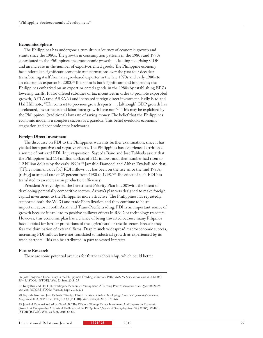#### **Economics Sphere**

The Philippines has undergone a tumultuous journey of economic growth and stunts since the 1980s. The growth in consumption patterns in the 1980s and 1990s contributed to the Philippines' macroeconomic growth—, leading to a rising GDP and an increase in the number of export-oriented goods. The Philippine economy has undertaken significant economic transformations over the past four decades: transforming itself from an agro-based exporter in the late 1970s and early 1980s to an electronics exporter in 2003.<sup>26</sup>This point is both significant and important; the Philippines embarked on an export-oriented agenda in the 1980s by establishing EPZs lowering tariffs. It also offered subsidies or tax incentives in order to promote export-led growth, AFTA (and ASEAN) and increased foreign direct investment. Kelly Bird and Hal Hill note, "[I]n contrast to previous growth spurts . . . [although] GDP growth has accelerated, investments and labor force growth have not."<sup>27</sup> This may be explained by the Philippines' (traditional) low rate of saving money. The belief that the Philippines economic model is a complete success is a paradox. This belief overlooks economic stagnation and economic steps backwards.

#### **Foreign Direct Investmen**t

The discourse on FDI to the Philippines warrants further examination, since it has yielded both positive and negative effects. The Philippines has experienced attrition as a source of outward FDI. In juxtaposition, Sayeeda Bano and Jose Tabbada assert that the Philippines had 114 million dollars of FDI inflows and, that number had risen to 1.2 billion dollars by the early 1990s.28 Jamshid Damooei and Akbar Tavakoli add that, "[T]he nominal value [of] FDI inflows . . . has been on the rise since the mid 1980s, [rising] at annual rate of 25 percent from 1980 to 1998."29 The effect of such FDI has translated to an increase in production efficiency.

President Arroyo signed the Investment Priority Plan in 2001with the intent of developing potentially competitive sectors. Arroyo's plan was designed to make foreign capital investment to the Philippines more attractive. The Philippines has repeatedly supported both the WTO and trade liberalization and they continue to be an important actor in both Asian and Trans-Pacific trading. FDI is an important source of growth because it can lead to positive spillover effects in R&D or technology transfers. However, this economic plan has a chance of being thwarted because many Filipinos have lobbied for further protections of the agricultural or textile sectors because they fear the domination of external firms. Despite such widespread macroeconomic success, increasing FDI inflows have not translated to industrial growth as experienced by its trade partners. This can be attributed in part to vested interests.

#### **Future Research**

There are some potential avenues for further scholarship, which could better

29. Jamshid Damooei and Akbar Tavakoli. "The Effects of Foreign Direct Investment And Imports on Economic Growth: A Comparative Analysis of Thailand and the Philippines." *Journal of Developing Areas* 39.2 (2006): 79-100. JSTOR [JSTOR]. Web. 23 Sept. 2018. 87-88.

International Relations Journal **ISSUE 38 2019** 2019

<sup>26.</sup> Jose Tongzon. "Trade Policy in the Philippines: Treading a Cautious Path." *ASEAN Economic Bulletin* 22.1 (2005): 35-48. JSTOR [JSTOR]. Web. 23 Sept. 2018. 25.

<sup>27.</sup> Kelly Bird and Hal Hill. "Philippine Economic Development: A Turning Point?". *Southeast Asian Affairs* 0 (2009): 267-288. JSTOR [JSTOR]. Web. 23 Sept. 2018. 271

<sup>28.</sup> Sayeeda Bano and Jose Tabbada. "Foreign Direct Investment Asian Developing Countries." *Journal of Economic Integration* 30.2 (2015): 359-398. JSTOR [JSTOR]. Web. 23 Sept. 2018. 375-376.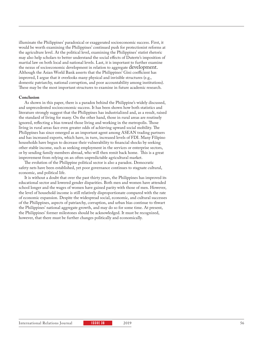illuminate the Philippines' paradoxical or exaggerated socioeconomic success. First, it would be worth examining the Philippines' continued push for protectionist reforms at the agriculture level. At the political level, examining the Philippines' statist rhetoric may also help scholars to better understand the social effects of Duterte's imposition of martial law on both local and national levels. Last, it is important to further examine the nexus of socioeconomic development in relation to aggregate development. Although the Asian World Bank asserts that the Philippines' Gini coefficient has improved, I argue that it overlooks many physical and invisible structures (e.g., domestic patriarchy, national corruption, and poor accountability among institutions). These may be the most important structures to examine in future academic research.

#### **Conclusion**

As shown in this paper, there is a paradox behind the Philippine's widely discussed, and unprecedented socioeconomic success. It has been shown how both statistics and literature strongly suggest that the Philippines has industrialized and, as a result, raised the standard of living for many. On the other hand, those in rural areas are routinely ignored, reflecting a bias toward those living and working in the metropolis. Those living in rural areas face even greater odds of achieving upward social mobility. The Philippines has since emerged as an important agent among ASEAN trading partners and has increased exports, which have, in turn, increased levels of FDI. Many Filipino households have begun to decrease their vulnerability to financial shocks by seeking other stable income, such as seeking employment in the services or enterprise sectors, or by sending family members abroad, who will then remit back home. This is a great improvement from relying on an often unpredictable agricultural market.

The evolution of the Philippine political sector is also a paradox. Democratic safety nets have been established, yet poor governance continues to stagnate cultural, economic, and political life.

It is without a doubt that over the past thirty years, the Philippines has improved its educational sector and lowered gender disparities. Both men and women have attended school longer and the wages of women have gained parity with those of men. However, the level of household income is still relatively disproportionate compared with the rate of economic expansion. Despite the widespread social, economic, and cultural successes of the Philippines, aspects of patriarchy, corruption, and urban bias continue to thwart the Philippines' national aggregate growth, and may do so for some time. At present, the Philippines' former milestones should be acknowledged. It must be recognized, however, that there must be further changes politically and economically.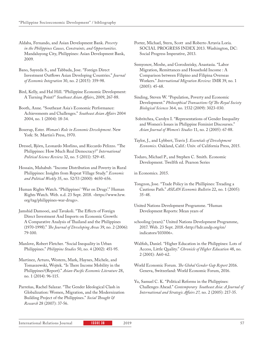Aldaba, Fernando, and Asian Development Bank. *Poverty in the Philippines Causes, Constraints, and Opportunities.*  Mandaluyong City, Philippines: Asian Development Bank, 2009.

Bano, Sayeeda S., and Tabbada, Jose. "Foreign Direct Investment Outflows Asian Developing Countries." *Journal of Economic Integration* 30, no. 2 (2015): 359-98.

Bird, Kelly, and Hal Hill. "Philippine Economic Development: A Turning Point?" *Southeast Asian Affairs*, 2009, 267-88.

Booth, Anne. "Southeast Asia´s Economic Performance: Achievements and Challenges." *Southeast Asian Affairs* 2004 2004, no. 1 (2004): 18-34.

Boserup, Ester. *Woman's Role in Economic Development*. New York: St. Martin's Press, 1970.

Dressel, Björn, Leonardo Morlino, and Riccardo Pelizzo. "The Philippines: How Much Real Democracy?" *International Political Science Review* 32, no. 5 (2011): 529-45.

Hossain, Mahabub. "Income Distribution and Poverty in Rural Philippines: Insights from Repeat Village Study." *Economic and Political Weekly* 35, no. 52/53 (2000): 4650-656.

Human Rights Watch. "Philippines' 'War on Drugs'." Human Rights Watch. Web. n.d. 23 Sept. 2018. <https://www.hrw. org/tag/philippines-war-drugs>.

Jamshid Damooei, and Tavakoli. "The Effects of Foreign Direct Investment And Imports on Economic Growth: A Comparative Analysis of Thailand and the Philippines (1970-1998)." *The Journal of Developing Areas* 39, no. 2 (2006): 79-100.

Manlove, Robert Fletcher. "Social Inequality in Urban Philippines." *Philippine Studies* 50, no. 4 (2002): 451-95.

Martinez, Arturo, Western, Mark, Haynes, Michele, and Tomaszewski, Wojtek. "Is There Income Mobility in the Philippines?(Report)." *Asian-Pacific Economic Literature* 28, no. 1 (2014): 96-115.

Parreñas, Rachel Salazar. "The Gender Ideological Clash in Globalization: Women, Migration, and the Modernization Building Project of the Philippines." *Social Thought & Research* 28 (2007): 37-56.

Porter, Michael, Stern, Scott and Roberto Artavia Loría. SOCIAL PROGRESS INDEX 2013. Washington, DC: Social Progress Imperative, 2013.

Semyonov, Moshe, and Gorodzeisky, Anastasia. "Labor Migration, Remittances and Household Income : A Comparison between Filipino and Filipina Overseas Workers." *International Migration Review*: IMR 39, no. 1 (2005): 45-68.

Sinding, Steven W. "Population, Poverty and Economic Development." *Philosophical Transactions Of The Royal Society Biological Sciences* 364, no. 1532 (2009): 3023-030.

 Sobritchea, Carolyn I. "Representations of Gender Inequality and Women's Issues in Philippine Feminist Discourses." *Asian Journal of Women's Studies* 11, no. 2 (2005): 67-88.

Taylor, J., and Lybbert, Travis J. *Essentials of Development Economics*. Oakland, Calif.: Univ. of California Press, 2015.

Todaro, Michael P., and Stephen C. Smith. Economic Development. Twelfth ed. Pearson Series

in Economics. 2015.

- Tongzon, Jose. "Trade Policy in the Phillipines: Treading a Cautious Path." *ASEAN Economic Bulletin* 22, no. 1 (2005): 35-48.
- United Nations Development Programme. "Human Development Reports: Mean years of

schooling (years)." United Nations Development Programme, 2017. Web. 23 Sept. 2018.<http://hdr.undp.org/en/ indicators/103006>.

Walfish, Daniel. "Higher Education in the Philippines: Lots of Access, Little Quality." *Chronicle of Higher Education* 48, no. 2 (2001): A60-62.

World Economic Forum. *The Global Gender Gap Report* 2016. Geneva, Switzerland: World Economic Forum, 2016.

Yu, Samuel C. K. "Political Reforms in the Philippines: Challenges Ahead." *Contemporary Southeast Asia: A Journal of International and Strategic Affairs 27,* no. 2 (2005): 217-35.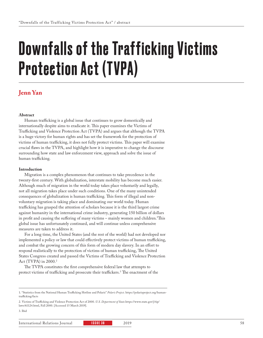# Downfalls of the Trafficking Victims Protection Act (TVPA)

### **Jenn Yan**

#### **Abstract**

Human trafficking is a global issue that continues to grow domestically and internationally despite aims to eradicate it. This paper examines the Victims of Trafficking and Violence Protection Act (TVPA) and argues that although the TVPA is a huge victory for human rights and has set the framework for the protection of victims of human trafficking, it does not fully protect victims. This paper will examine crucial flaws in the TVPA, and highlight how it is imperative to change the discourse surrounding how state and law enforcement view, approach and solve the issue of human trafficking.

#### **Introduction**

Migration is a complex phenomenon that continues to take precedence in the twenty-first century. With globalization, interstate mobility has become much easier. Although much of migration in the world today takes place voluntarily and legally, not all migration takes place under such conditions. One of the many unintended consequences of globalization is human trafficking. This form of illegal and nonvoluntary migration is taking place and dominating our world today. Human trafficking has grasped the attention of scholars because it is the third largest crime against humanity in the international crime industry, generating 150 billion of dollars in profit and causing the suffering of many victims – mainly women and children.1 This global issue has unfortunately continued, and will continue unless comprehensive measures are taken to address it.

For a long time, the United States (and the rest of the world) had not developed nor implemented a policy or law that could effectively protect victims of human trafficking, and combat the growing concern of this form of modern day slavery. In an effort to respond realistically to the protection of victims of human trafficking, The United States Congress created and passed the Victims of Trafficking and Violence Protection Act (TVPA) in 2000.2

The TVPA constitutes the first comprehensive federal law that attempts to protect victims of trafficking and prosecute their traffickers.3 The enactment of the

3. Ibid

<sup>1. &</sup>quot;Statistics from the National Human Trafficking Hotline and Polaris" *Polaris Project*. https://polarisproject.org/humantrafficking/facts

<sup>2.</sup> Victims of Trafficking and Violence Protection Act of 2000. *U.S. Department of State.*https://www.state.gov/j/tip/ laws/61124.html, Fall 2000. [Accessed 15 March 2019].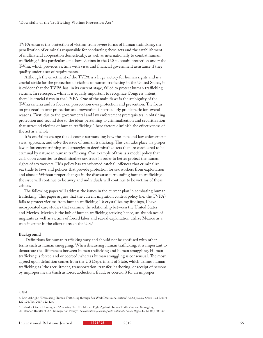TVPA ensures the protection of victims from severe forms of human trafficking, the penalization of criminals responsible for conducting these acts and the establishment of multilateral cooperation domestically, as well as internationally to combat human trafficking.4 This particular act allows victims in the U.S to obtain protection under the T-Visa, which provides victims with visas and financial government assistance if they qualify under a set of requirements.

Although the enactment of the TVPA is a huge victory for human rights and is a crucial stride for the protection of victims of human trafficking in the United States, it is evident that the TVPA has, in its current stage, failed to protect human trafficking victims. In retrospect, while it is equally important to recognize Congress' intent, there lie crucial flaws in the TVPA. One of the main flaws is the ambiguity of the T-Visa criteria and its focus on prosecution over protection and prevention. The focus on prosecution over protection and prevention is particularly problematic for several reasons. First, due to the governmental and law enforcement prerequisites in obtaining protection and second due to the ideas pertaining to criminalization and securitization that surround victims of human trafficking. These factors diminish the effectiveness of the act as a whole.

It is crucial to change the discourse surrounding how the state and law enforcement view, approach, and solve the issue of human trafficking. This can take place via proper law enforcement training and strategies to decriminalize acts that are considered to be criminal by nature in human trafficking. One example of this is a model policy that calls upon countries to decriminalize sex trade in order to better protect the human rights of sex workers. This policy has transformed catchall offences that criminalize sex trade to laws and policies that provide protection for sex workers from exploitation and abuse.5 Without proper changes in the discourse surrounding human trafficking, the issue will continue to lie awry and individuals will continue to be victims of these crimes.

The following paper will address the issues in the current plan in combating human trafficking. This paper argues that the current migration control policy (i.e. the TVPA) fails to protect victims from human trafficking. To crystallize my findings, I have incorporated case studies that examine the relationship between the United States and Mexico. Mexico is the hub of human trafficking activity; hence, an abundance of migrants as well as victims of forced labor and sexual exploitation utilize Mexico as a transit center in the effort to reach the U.S.6

#### **Background**

 Definitions for human trafficking vary and should not be confused with other terms such as human smuggling. When discussing human trafficking, it is important to demarcate the differences between human trafficking and human smuggling. Human trafficking is forced and or coerced, whereas human smuggling is consensual. The most agreed upon definition comes from the US Department of State, which defines human trafficking as "the recruitment, transportation, transfer, harboring, or receipt of persons by improper means (such as force, abduction, fraud, or coercion) for an improper

#### 4. Ibid

6. Salvador Cicero-Dominguez. "Assessing the U.S.-Mexico Fight Against Human Trafficking and Smuggling: Unintended Results of U.S. Immigration Policy." *Northwestern Journal of International Human Right*s4.2 (2005): 303-30.

<sup>5.</sup> Erin Albright. "Decreasing Human Trafficking through Sex Work Decriminalization" A*MA Journal Ethics.* 19.1 (2017) 122-126. Jan. 2017. 122-124.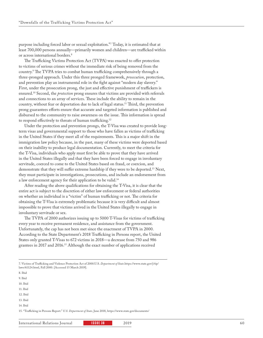purpose including forced labor or sexual exploitation."7 Today, it is estimated that at least 700,000 persons annually—primarily women and children—are trafficked within or across international borders.<sup>8</sup>

The Trafficking Victims Protection Act (TVPA) was enacted to offer protection to victims of serious crimes without the immediate risk of being removed from the country.9 The TVPA tries to combat human trafficking comprehensively through a three-pronged approach. Under this three pronged framework, *prosecution*, protection, and prevention play an instrumental role in the fight against "modern day slavery." First, under the prosecution prong, the just and effective punishment of traffickers is ensured.10 Second, the *protection* prong ensures that victims are provided with referrals and connections to an array of services. These include the ability to remain in the country, without fear or deportation due to lack of legal status.11 Third, the prevention prong guarantees efforts ensure that accurate and targeted information is published and disbursed to the community to raise awareness on the issue. This information is spread to respond effectively to threats of human trafficking.12

Under the protection and prevention prongs, the T-Visa was created to provide longterm visas and governmental support to those who have fallen as victims of trafficking in the United States if they meet all of the requirements. This is a major shift in the immigration law policy because, in the past, many of these victims were deported based on their inability to produce legal documentation. Currently, to meet the criteria for the T-Visa, individuals who apply must first be able to prove that they have arrived in the United States illegally and that they have been forced to engage in involuntary servitude, coerced to come to the United States based on fraud, or coercion, and demonstrate that they will suffer extreme hardship if they were to be deported.13 Next, they must participate in investigations, prosecutions, and include an endorsement from a law enforcement agency for their application to be valid.14

After reading the above qualifications for obtaining the T-Visa, it is clear that the entire act is subject to the discretion of either law enforcement or federal authorities on whether an individual is a "victim" of human trafficking or not. The criteria for obtaining the T-Visa is extremely problematic because it is very difficult and almost impossible to prove that victims arrived in the United States illegally to engage in involuntary servitude or sex.

The TVPA of 2000 authorizes issuing up to 5000 T-Visas for victims of trafficking every year to receive permanent residence, and assistance from the government. Unfortunately, the cap has not been met since the enactment of TVPA in 2000. According to the State Department's 2018 Trafficking in Persons report, the United States only granted T-Visas to 672 victims in 2018—a decrease from 750 and 986 grantees in 2017 and 2016.15 Although the exact number of applications received

- 9. Ibid
- 10. Ibid 11. Ibid
- 12. Ibid

14. Ibid

15. "Trafficking in Persons Report." *U.S. Department of State,* June 2018, https://www.state.gov/documents/

<sup>7.</sup> Victims of Trafficking and Violence Protection Act of 2000.U.S. *Department of State*.https://www.state.gov/j/tip/ laws/61124.html, Fall 2000. [Accessed 15 March 2019].

<sup>8.</sup> Ibid

<sup>13.</sup> Ibid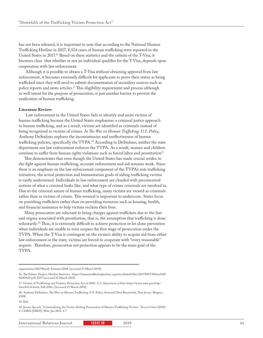has not been released, it is important to note that according to the National Human Trafficking Hotline in 2017, 8,524 cases of human trafficking were reported in the United States in 2017.16 Based on these statistics and the criteria of the T-Visa, it becomes clear that whether or not an individual qualifies for the T-Visa, depends upon cooperation with law enforcement.

 Although it is possible to obtain a T-Visa without obtaining approval from law enforcement, it becomes extremely difficult for applicants to prove their status as being trafficked since they will need to submit documentation of secondary sources such as police reports and news articles.17 This eligibility requirement and process although in well intent for the purpose of prosecution, is just another barrier to prevent the eradication of human trafficking.

#### **Literature Review:**

 Law enforcement in the United States fails to identify and assist victims of human trafficking because the United States emphasizes a criminal justice approach to human trafficking, and as a result, victims are identified as criminals instead of being recognized as victims of crimes. *In The War on Human Trafficking: U.S. Policy*, Anthony DeStafano explores the inconsistencies and ineffectiveness of human trafficking policies, specifically the TVPA.<sup>18</sup> According to DeStafano, neither the state department nor law enforcement enforces the TVPA. As a result, women and children continue to suffer from human rights violations such as forced labor and prostitution<sup>19</sup>

This demonstrates that even though the United States has made crucial strides in the fight against human trafficking, accurate enforcement and aid remains weak. Since there is an emphasis on the law enforcement component of the TVPA's anti trafficking initiatives, the actual protection and humanitarian goals of aiding trafficking victims is vastly undermined. Individuals in law enforcement are clouded with preconceived notions of what a criminal looks like, and what type of crimes criminals are involved in. Due to the criminal nature of human trafficking, many victims are viewed as criminals rather than as victims of crimes. This reversal is important to underscore. States focus on punishing traffickers rather than on providing resources such as housing, health, and financial assistance to help victims reclaim their lives.

Many prosecutors are reluctant to bring charges against traffickers due to the fear and stigma associated with prostitution, that is, the assumption that trafficking is done voluntarily.20 Thus, it is extremely difficult to achieve protection or let alone prevention when individuals are unable to even surpass the first stage of prosecution under the TVPA. When the T-Visa is contingent on the victim's ability to acquire aid from either law enforcement or the state, victims are forced to cooperate with "every reasonable" request. Therefore, prosecution not protection appears to be the main goal of the TVPA.

19. Ibid

organization/282798.pdf, Summer 2008. [accessed 15 March 2019].

<sup>16.</sup> The Polaris Project, Hotline Statistics, https://humantraffickinghotline.org/sites/default/files/2017NHTHStats%20 %281%29.pdf, 2017 [accessed 22 March 2019].

<sup>17.</sup> Victims of Trafficking and Violence Protection Act of 2000. *U.S. Department of State*.https://www.state.gov/j/tip/ laws/61124.html, Fall 2000. [Accessed 15 March 2019].

<sup>18.</sup> Anthony DeStefano, The War on Human Trafficking: U.S. Policy Assessed (New Brunswick, New Jersey: Rutgers, 2008)

<sup>20.</sup> Jessica Aycock. "Criminalizing the Victim: Ending Prosecution of Human Trafficking Victims. "*Research Gate* (2019): 4-7.SSRN [SSRN]. Web. Jan 2019. 4-7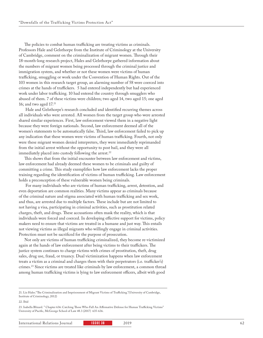The policies to combat human trafficking are treating victims as criminals. Professors Hale and Gelsthorpe from the Institute of Criminology at the University of Cambridge, comment on the criminalization of migrant women. Through their 18-month-long research project, Hales and Gelsthorpe gathered information about the numbers of migrant women being processed through the criminal justice and immigration system, and whether or not these women were victims of human trafficking, smuggling or work under the Convention of Human Rights. Out of the 103 women in this research target group, an alarming number of 58 were coerced into crimes at the hands of traffickers. 5 had entered independently but had experienced work under labor trafficking. 10 had entered the country through smugglers who abused of them. 7 of these victims were children; two aged 14, two aged 15; one aged 16; and two aged  $17.^{21}$ 

 Hale and Gelsthorpe's research concluded and identified recurring themes across all individuals who were arrested. All women from the target group who were arrested shared similar experiences. First, law enforcement viewed them in a negative light because they were foreign nationals. Second, law enforcement deemed all of the women's statements to be automatically false. Third, law enforcement failed to pick up any indication that these women were victims of human trafficking. Fourth, not only were these migrant women denied interpreters, they were immediately reprimanded from the initial arrest without the opportunity to post bail, and they were all immediately placed into custody following the arrest.<sup>22</sup>

This shows that from the initial encounter between law enforcement and victims, law enforcement had already deemed these women to be criminals and guilty of committing a crime. This study exemplifies how law enforcement lacks the proper training regarding the identification of victims of human trafficking. Law enforcement holds a preconception of these vulnerable women being criminals.

 For many individuals who are victims of human trafficking, arrest, detention, and even deportation are common realities. Many victims appear as criminals because of the criminal nature and stigma associated with human trafficking and sex work, and thus, are arrested due to multiple factors. These include but are not limited to not having a visa, participating in criminal activities, such as prostitution related charges, theft, and drugs. These accusations often mask the reality, which is that individuals were forced and coerced. In developing effective support for victims, policy makers need to ensure that victims are treated in a humane and just way. This entails not viewing victims as illegal migrants who willingly engage in criminal activities. Protection must not be sacrificed for the purpose of prosecution.

Not only are victims of human trafficking criminalized, they become re-victimized again at the hands of law enforcement after being victims to their traffickers. The justice system continues to charge victims with crimes of prostitution, theft, drug sales, drug use, fraud, or truancy. Dual victimization happens when law enforcement treats a victim as a criminal and charges them with their perpetrators (i.e. trafficker's) crimes.23 Since victims are treated like criminals by law enforcement, a common thread among human trafficking victims is lying to law enforcement officers, albeit with good

<sup>21.</sup> Liz Hales."The Criminalization and Imprisonment of Migrant Victims of Trafficking."(University of Cambridge, Institute of Criminology, 2012)

<sup>22.</sup> Ibid

<sup>23.</sup> Isabella Blizard. " Chapter 636: Catching Those Who Fall An Affirmative Defense for Human Trafficking Victims" University of Pacific, McGeorge School of Law 48.3 (2017) 635-636.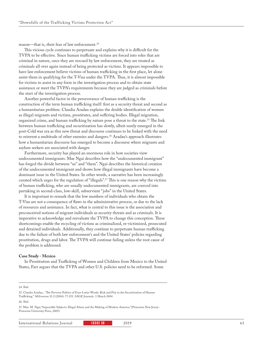reason—that is, their fear of law enforcement.<sup>24</sup>

This vicious cycle continues to perpetuate and explains why it is difficult for the TVPA to be effective. Since human trafficking victims are forced into roles that are criminal in nature, once they are rescued by law enforcement, they are treated as criminals all over again instead of being protected as victims. It appears impossible to have law enforcement believe victims of human trafficking in the first place, let alone assist them in qualifying for the T-Visa under the TVPA. Thus, it is almost impossible for victims to assist in any form in the investigation process and to obtain state assistance or meet the TVPA's requirements because they are judged as criminals before the start of the investigation process.

Another powerful factor in the perseverance of human trafficking is the construction of the term human trafficking itself: first as a security threat and second as a humanitarian problem. Claudia Aradau explains the double identification of women as illegal migrants and victims, prostitutes, and suffering bodies. Illegal migration, organized crime, and human trafficking by nature pose a threat to the state.<sup>25</sup> The link between human trafficking and securitization has slowly, albeit surely emerged in the post-Cold war era as this new threat and discourse continues to be linked with the need to reinvent a multitude of other enemies and dangers.<sup>26</sup> Aradau's approach illustrates how a humanitarian discourse has emerged to become a discourse where migrants and asylum seekers are associated with danger.

Furthermore, security has played an enormous role in how societies view undocumented immigrants. Mae Ngai describes how the "undocumented immigrant" has forged the divide between "us" and "them". Ngai describes the historical creation of the undocumented immigrant and shows how illegal immigrants have become a dominant issue in the United States. In other words, a narrative has been increasingly curated which urges for the regulation of "illegals".27 This is one reason why the victims of human trafficking, who are usually undocumented immigrants, are coerced into partaking in second-class, low-skill, subservient "jobs" in the United States.

It is important to remark that the low numbers of individuals who obtain the T-Visa are not a consequence of flaws in the administrative process, or due to the lack of resources and assistance. In fact, what is central to this issue is the association and preconceived notions of migrant individuals as security threats and as criminals. It is imperative to acknowledge and reevaluate the TVPA to change this conception. These shortcomings enable the recycling of victims as criminalized, re-victimized, prosecuted and detained individuals. Additionally, they continue to perpetuate human trafficking due to the failure of both law enforcement's and the United States' policies regarding prostitution, drugs and labor. The TVPA will continue failing unless the root cause of the problem is addressed.

#### **Case Study - Mexico**

In Prostitution and Trafficking of Women and Children from Mexico to the United States, Farr argues that the TVPA and other U.S. policies need to be reformed. Some

#### 24. Ibid

#### 26. Ibid

27. Mae. M. Ngai,"Impossible Subjects: Illegal Aliens and the Making of Modern America."(Princeton New Jersey : Princeton University Press, 2005)

<sup>25.</sup> Claudia Aradau,. "The Perverse Politics of Four-Letter Words: Risk and Pity in the Securitisation of Human Trafficking." *Millennium* 33.2 (2004): 77-251. SAGE Journals. 1 March 2004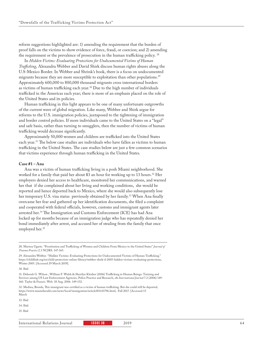reform suggestions highlighted are: 1) amending the requirement that the burden of proof falls on the victims to show evidence of force, fraud, or coercion; and 2) amending the requirement or the prevalence of prosecution in the human trafficking policy. 28

In *Hidden Victims: Evaluating Protections for Undocumented Victims of Human Trafficking*, Alexandra Webber and David Shirk discuss human rights abuses along the U.S-Mexico Border. In Webber and Shrink's book, there is a focus on undocumented migrants because they are more susceptible to exploitation than other populations.29 Approximately 600,000 to 800,000 thousand migrants cross international borders as victims of human trafficking each year.30 Due to the high number of individuals trafficked in the Americas each year; there is more of an emphasis placed on the role of the United States and its policies.

Human trafficking in this light appears to be one of many unfortunate outgrowths of the current wave of global migration. Like many, Webber and Shirk argue for reforms to the U.S. immigration policies, juxtaposed to the tightening of immigration and border control policies. If more individuals came to the United States on a "legal" and safe basis, rather than turning to smugglers, then the number of victims of human trafficking would decrease significantly.

Approximately 50,000 women and children are trafficked into the United States each year.<sup>31</sup> The below case studies are individuals who have fallen as victims to human trafficking in the United States. The case studies below are just a few common scenarios that victims experience through human trafficking in the United States.

#### **Case #1 – Ana**

Ana was a victim of human trafficking living in a posh Miami neighborhood. She worked for a family that paid her about \$3 an hour for working up to 13 hours.<sup>32</sup> Her employers denied her access to healthcare, monitored her communications, and warned her that if she complained about her living and working conditions, she would be reported and hence deported back to Mexico, where she would also subsequently lose her temporary U.S. visa status previously obtained by her family.<sup>33</sup> When Ana finally overcame her fear and gathered up her identification documents, she filed a complaint and cooperated with federal officials, however, customs and immigrant agents later arrested her.34 The Immigration and Customs Enforcement (ICE) has had Ana locked up for months because of an immigration judge who has repeatedly denied her bond immediately after arrest, and accused her of stealing from the family that once employed her.<sup>35</sup>

30. Ibid

34. Ibid

35. Ibid

<sup>28.</sup> Marissa Ugarte. "Prostitution and Trafficking of Women and Children From Mexico to the United States" *Journal of Trauma Practice* 2.3 NCJRS. 147-165.

<sup>29.</sup> Alexandra Webber. "Hidden Victims: Evaluating Protections for Undocumented Victims of Human Trafficking." https://childhub.org/en/child-protection-online-library/webber-shirk-d-2005-hidden-victims-evaluating-protections, Winter 2005. [Accessed 29 March 2019].

<sup>31.</sup> Deborah G. Wilson , William F. Walsh & Sherilyn Kleuber (2006) Trafficking in Human Beings: Training and Services among US Law Enforcement Agencies, Police Practice and Research, *An International Journal* 7.2 (2006) 149- 160. Taylor & Francis. Web. 18 Aug. 2006. 149-152.

<sup>32.</sup> Medina, Brenda, This immigrant was certified as a victim of human trafficking. But she could still be deported, https://www.miamiherald.com/news/local/immigration/article181143796.html, Fall 2017. [Accessed 15 March

<sup>33.</sup> Ibid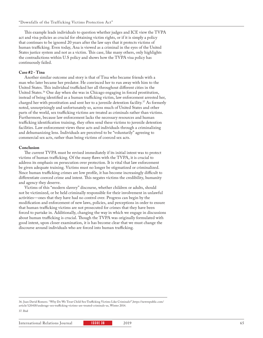This example leads individuals to question whether judges and ICE view the TVPA act and visa policies as crucial for obtaining victim rights, or if it is simply a policy that continues to be ignored 20 years after the law says that it protects victims of human trafficking. Even today, Ana is viewed as a criminal in the eyes of the United States justice system and not as a victim. This case, like many others, only highlights the contradictions within U.S policy and shows how the TVPA visa policy has continuously failed.

#### **Case #2 - Tina**

Another similar outcome and story is that of Tina who became friends with a man who later became her predator. He convinced her to run away with him to the United States. This individual trafficked her all throughout different cities in the United States.<sup>36</sup> One day when she was in Chicago engaging in forced prostitution, instead of being identified as a human trafficking victim, law enforcement arrested her, charged her with prostitution and sent her to a juvenile detention facility.37 As formerly noted, unsurprisingly and unfortunately so, across much of United States and other parts of the world, sex trafficking victims are treated as criminals rather than victims. Furthermore, because law enforcement lacks the necessary resources and human trafficking identification training, they often send these victims to juvenile detention facilities. Law enforcement views these acts and individuals through a criminalizing and dehumanizing lens. Individuals are perceived to be "voluntarily" agreeing to commercial sex acts, rather than being victims of coerced sex acts.

#### **Conclusion**

The current TVPA must be revised immediately if its initial intent was to protect victims of human trafficking. Of the many flaws with the TVPA, it is crucial to address its emphasis on persecution over protection. It is vital that law enforcement be given adequate training. Victims must no longer be stigmatized or criminalized. Since human trafficking crimes are low profile, it has become increasingly difficult to differentiate coerced crime and intent. This negates victims the credibility, humanity and agency they deserve.

Victims of this "modern slavery" discourse, whether children or adults, should not be victimized, or be held criminally responsible for their involvement in unlawful activities—ones that they have had no control over. Progress can begin by the modification and enforcement of new laws, policies, and perceptions in order to ensure that human trafficking victims are not prosecuted for crimes that they have been forced to partake in. Additionally, changing the way in which we engage in discussions about human trafficking is crucial. Though the TVPA was originally formulated with good intent, upon closer examination, it is has become clear that we must change the discourse around individuals who are forced into human trafficking.

36. Juan David Romero. "Why Do We Treat Child Sex-Trafficking Victims Like Criminals?",https://newrepublic.com/ article/120418/underage-sex-trafficking-victims-are-treated-criminals-us, Winter 2014.